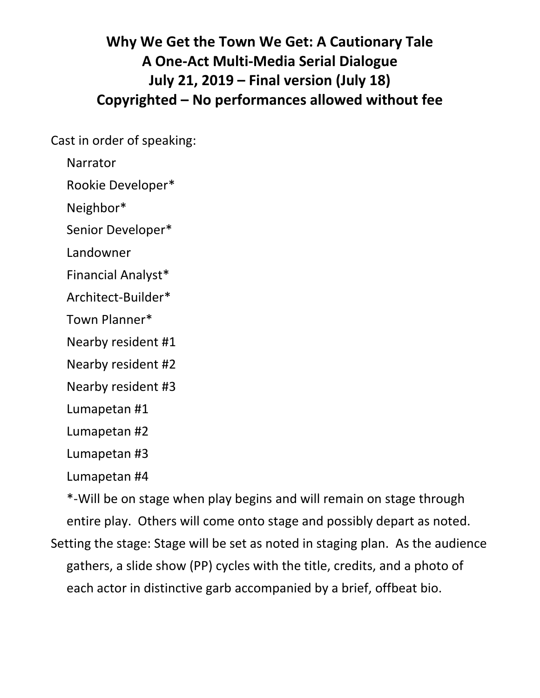# **Why We Get the Town We Get: A Cautionary Tale A One-Act Multi-Media Serial Dialogue July 21, 2019 – Final version (July 18) Copyrighted – No performances allowed without fee**

Cast in order of speaking:

Narrator

Rookie Developer\*

Neighbor\*

Senior Developer\*

Landowner

Financial Analyst\*

Architect-Builder\*

Town Planner\*

Nearby resident #1

Nearby resident #2

Nearby resident #3

Lumapetan #1

Lumapetan #2

Lumapetan #3

Lumapetan #4

\*-Will be on stage when play begins and will remain on stage through entire play. Others will come onto stage and possibly depart as noted. Setting the stage: Stage will be set as noted in staging plan. As the audience gathers, a slide show (PP) cycles with the title, credits, and a photo of each actor in distinctive garb accompanied by a brief, offbeat bio.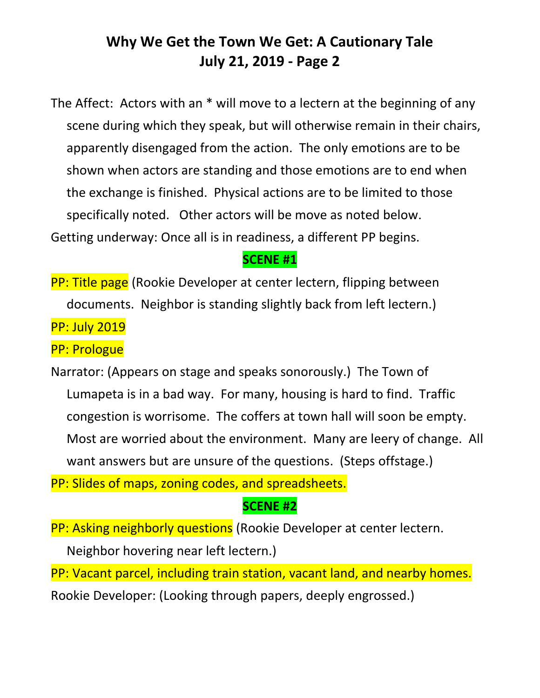The Affect: Actors with an \* will move to a lectern at the beginning of any scene during which they speak, but will otherwise remain in their chairs, apparently disengaged from the action. The only emotions are to be shown when actors are standing and those emotions are to end when the exchange is finished. Physical actions are to be limited to those specifically noted. Other actors will be move as noted below. Getting underway: Once all is in readiness, a different PP begins.

#### **SCENE #1**

**PP: Title page** (Rookie Developer at center lectern, flipping between documents. Neighbor is standing slightly back from left lectern.)

PP: July 2019

PP: Prologue

Narrator: (Appears on stage and speaks sonorously.) The Town of Lumapeta is in a bad way. For many, housing is hard to find. Traffic congestion is worrisome. The coffers at town hall will soon be empty. Most are worried about the environment. Many are leery of change. All want answers but are unsure of the questions. (Steps offstage.)

PP: Slides of maps, zoning codes, and spreadsheets.

### **SCENE #2**

PP: Asking neighborly questions (Rookie Developer at center lectern.

Neighbor hovering near left lectern.)

PP: Vacant parcel, including train station, vacant land, and nearby homes. Rookie Developer: (Looking through papers, deeply engrossed.)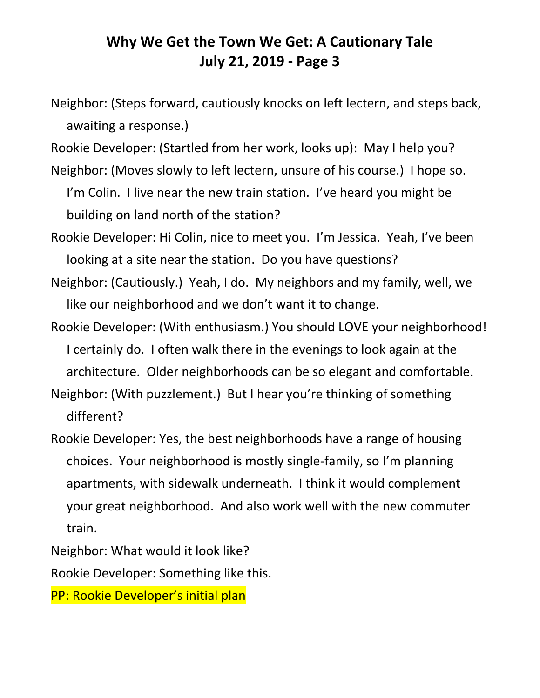- Neighbor: (Steps forward, cautiously knocks on left lectern, and steps back, awaiting a response.)
- Rookie Developer: (Startled from her work, looks up): May I help you?
- Neighbor: (Moves slowly to left lectern, unsure of his course.) I hope so. I'm Colin. I live near the new train station. I've heard you might be building on land north of the station?
- Rookie Developer: Hi Colin, nice to meet you. I'm Jessica. Yeah, I've been looking at a site near the station. Do you have questions?
- Neighbor: (Cautiously.) Yeah, I do. My neighbors and my family, well, we like our neighborhood and we don't want it to change.
- Rookie Developer: (With enthusiasm.) You should LOVE your neighborhood! I certainly do. I often walk there in the evenings to look again at the architecture. Older neighborhoods can be so elegant and comfortable.
- Neighbor: (With puzzlement.) But I hear you're thinking of something different?
- Rookie Developer: Yes, the best neighborhoods have a range of housing choices. Your neighborhood is mostly single-family, so I'm planning apartments, with sidewalk underneath. I think it would complement your great neighborhood. And also work well with the new commuter train.

Neighbor: What would it look like?

Rookie Developer: Something like this.

PP: Rookie Developer's initial plan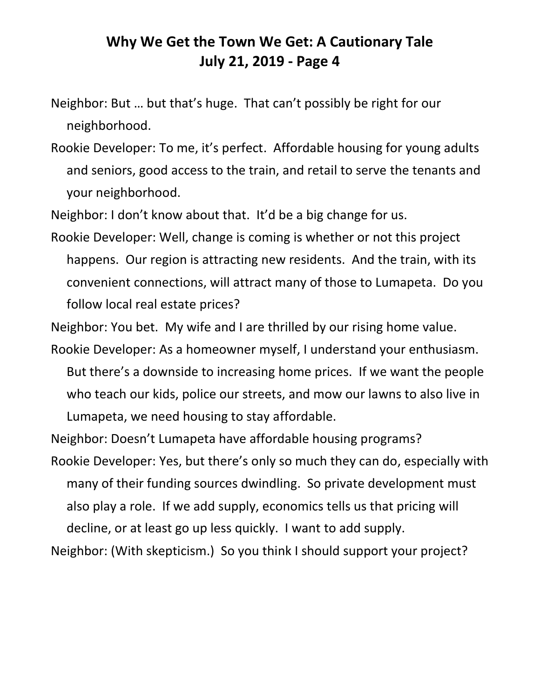- Neighbor: But … but that's huge. That can't possibly be right for our neighborhood.
- Rookie Developer: To me, it's perfect. Affordable housing for young adults and seniors, good access to the train, and retail to serve the tenants and your neighborhood.

Neighbor: I don't know about that. It'd be a big change for us.

Rookie Developer: Well, change is coming is whether or not this project happens. Our region is attracting new residents. And the train, with its convenient connections, will attract many of those to Lumapeta. Do you follow local real estate prices?

Neighbor: You bet. My wife and I are thrilled by our rising home value.

- Rookie Developer: As a homeowner myself, I understand your enthusiasm. But there's a downside to increasing home prices. If we want the people who teach our kids, police our streets, and mow our lawns to also live in Lumapeta, we need housing to stay affordable.
- Neighbor: Doesn't Lumapeta have affordable housing programs? Rookie Developer: Yes, but there's only so much they can do, especially with many of their funding sources dwindling. So private development must also play a role. If we add supply, economics tells us that pricing will decline, or at least go up less quickly. I want to add supply.

Neighbor: (With skepticism.) So you think I should support your project?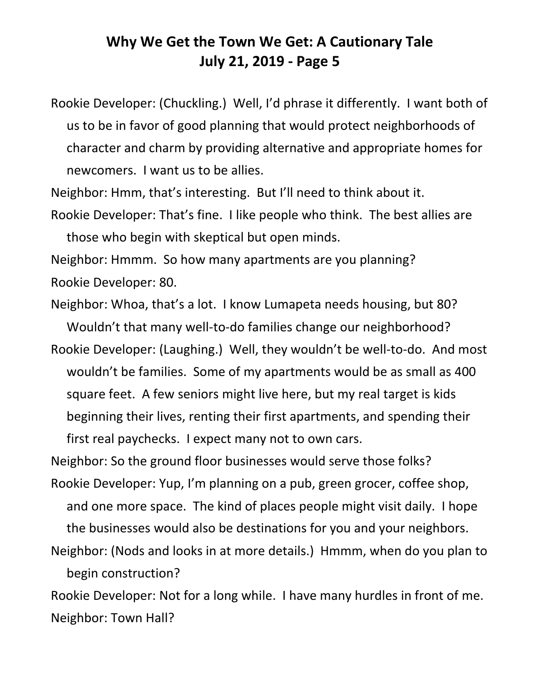Rookie Developer: (Chuckling.) Well, I'd phrase it differently. I want both of us to be in favor of good planning that would protect neighborhoods of character and charm by providing alternative and appropriate homes for newcomers. I want us to be allies.

Neighbor: Hmm, that's interesting. But I'll need to think about it.

Rookie Developer: That's fine. I like people who think. The best allies are those who begin with skeptical but open minds.

Neighbor: Hmmm. So how many apartments are you planning? Rookie Developer: 80.

Neighbor: Whoa, that's a lot. I know Lumapeta needs housing, but 80? Wouldn't that many well-to-do families change our neighborhood?

Rookie Developer: (Laughing.) Well, they wouldn't be well-to-do. And most wouldn't be families. Some of my apartments would be as small as 400 square feet. A few seniors might live here, but my real target is kids beginning their lives, renting their first apartments, and spending their first real paychecks. I expect many not to own cars.

Neighbor: So the ground floor businesses would serve those folks?

- Rookie Developer: Yup, I'm planning on a pub, green grocer, coffee shop, and one more space. The kind of places people might visit daily. I hope the businesses would also be destinations for you and your neighbors.
- Neighbor: (Nods and looks in at more details.) Hmmm, when do you plan to begin construction?

Rookie Developer: Not for a long while. I have many hurdles in front of me. Neighbor: Town Hall?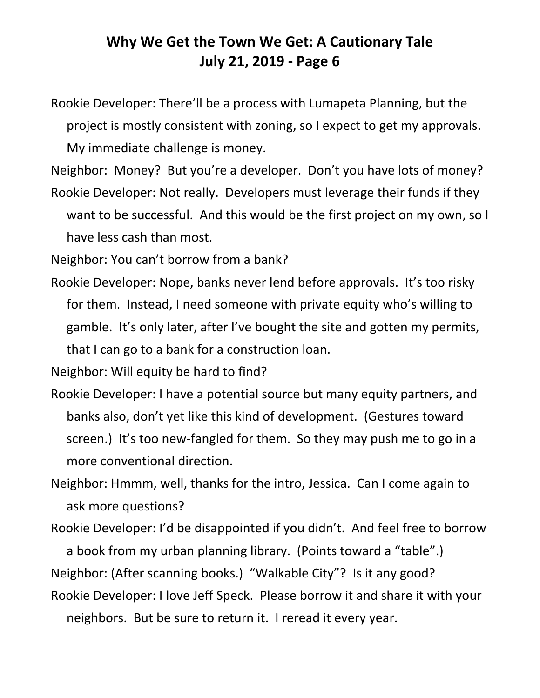Rookie Developer: There'll be a process with Lumapeta Planning, but the project is mostly consistent with zoning, so I expect to get my approvals. My immediate challenge is money.

Neighbor: Money? But you're a developer. Don't you have lots of money?

Rookie Developer: Not really. Developers must leverage their funds if they want to be successful. And this would be the first project on my own, so I have less cash than most.

Neighbor: You can't borrow from a bank?

Rookie Developer: Nope, banks never lend before approvals. It's too risky for them. Instead, I need someone with private equity who's willing to gamble. It's only later, after I've bought the site and gotten my permits, that I can go to a bank for a construction loan.

Neighbor: Will equity be hard to find?

Rookie Developer: I have a potential source but many equity partners, and banks also, don't yet like this kind of development. (Gestures toward screen.) It's too new-fangled for them. So they may push me to go in a more conventional direction.

Neighbor: Hmmm, well, thanks for the intro, Jessica. Can I come again to ask more questions?

Rookie Developer: I'd be disappointed if you didn't. And feel free to borrow

a book from my urban planning library. (Points toward a "table".)

Neighbor: (After scanning books.) "Walkable City"? Is it any good?

Rookie Developer: I love Jeff Speck. Please borrow it and share it with your neighbors. But be sure to return it. I reread it every year.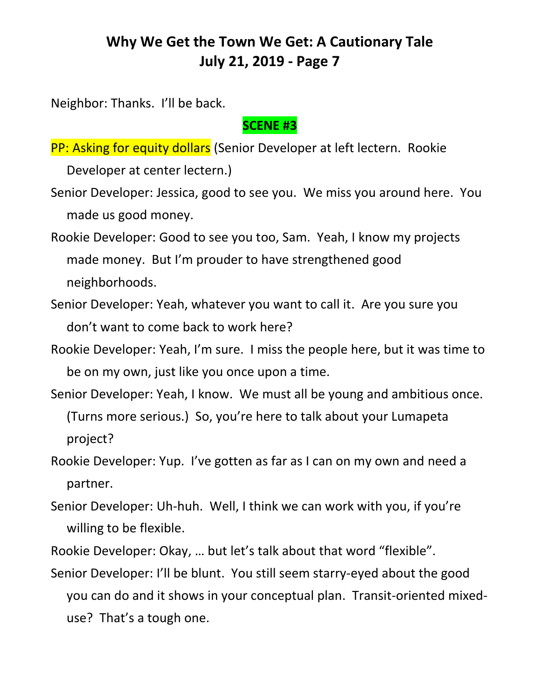Neighbor: Thanks. I'll be back.

#### **SCENE #3**

PP: Asking for equity dollars (Senior Developer at left lectern. Rookie

Developer at center lectern.)

- Senior Developer: Jessica, good to see you. We miss you around here. You made us good money.
- Rookie Developer: Good to see you too, Sam. Yeah, I know my projects made money. But I'm prouder to have strengthened good neighborhoods.
- Senior Developer: Yeah, whatever you want to call it. Are you sure you don't want to come back to work here?
- Rookie Developer: Yeah, I'm sure. I miss the people here, but it was time to be on my own, just like you once upon a time.
- Senior Developer: Yeah, I know. We must all be young and ambitious once. (Turns more serious.) So, you're here to talk about your Lumapeta project?
- Rookie Developer: Yup. I've gotten as far as I can on my own and need a partner.
- Senior Developer: Uh-huh. Well, I think we can work with you, if you're willing to be flexible.
- Rookie Developer: Okay, … but let's talk about that word "flexible".
- Senior Developer: I'll be blunt. You still seem starry-eyed about the good you can do and it shows in your conceptual plan. Transit-oriented mixeduse? That's a tough one.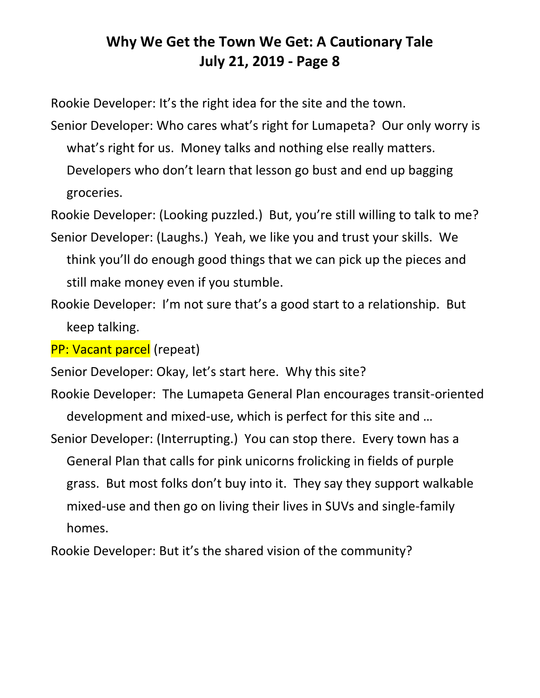Rookie Developer: It's the right idea for the site and the town.

Senior Developer: Who cares what's right for Lumapeta? Our only worry is what's right for us. Money talks and nothing else really matters.

Developers who don't learn that lesson go bust and end up bagging groceries.

Rookie Developer: (Looking puzzled.) But, you're still willing to talk to me?

- Senior Developer: (Laughs.) Yeah, we like you and trust your skills. We think you'll do enough good things that we can pick up the pieces and still make money even if you stumble.
- Rookie Developer: I'm not sure that's a good start to a relationship. But keep talking.

PP: Vacant parcel (repeat)

Senior Developer: Okay, let's start here. Why this site?

- Rookie Developer: The Lumapeta General Plan encourages transit-oriented development and mixed-use, which is perfect for this site and …
- Senior Developer: (Interrupting.) You can stop there. Every town has a General Plan that calls for pink unicorns frolicking in fields of purple grass. But most folks don't buy into it. They say they support walkable mixed-use and then go on living their lives in SUVs and single-family homes.

Rookie Developer: But it's the shared vision of the community?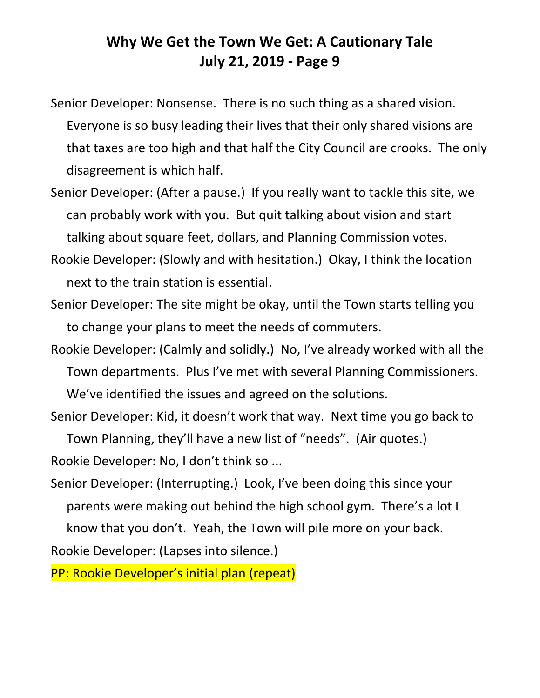Senior Developer: Nonsense. There is no such thing as a shared vision.

Everyone is so busy leading their lives that their only shared visions are that taxes are too high and that half the City Council are crooks. The only disagreement is which half.

Senior Developer: (After a pause.) If you really want to tackle this site, we can probably work with you. But quit talking about vision and start talking about square feet, dollars, and Planning Commission votes.

- Rookie Developer: (Slowly and with hesitation.) Okay, I think the location next to the train station is essential.
- Senior Developer: The site might be okay, until the Town starts telling you to change your plans to meet the needs of commuters.

Rookie Developer: (Calmly and solidly.) No, I've already worked with all the Town departments. Plus I've met with several Planning Commissioners. We've identified the issues and agreed on the solutions.

Senior Developer: Kid, it doesn't work that way. Next time you go back to Town Planning, they'll have a new list of "needs". (Air quotes.)

Rookie Developer: No, I don't think so ...

Senior Developer: (Interrupting.) Look, I've been doing this since your parents were making out behind the high school gym. There's a lot I know that you don't. Yeah, the Town will pile more on your back.

Rookie Developer: (Lapses into silence.)

PP: Rookie Developer's initial plan (repeat)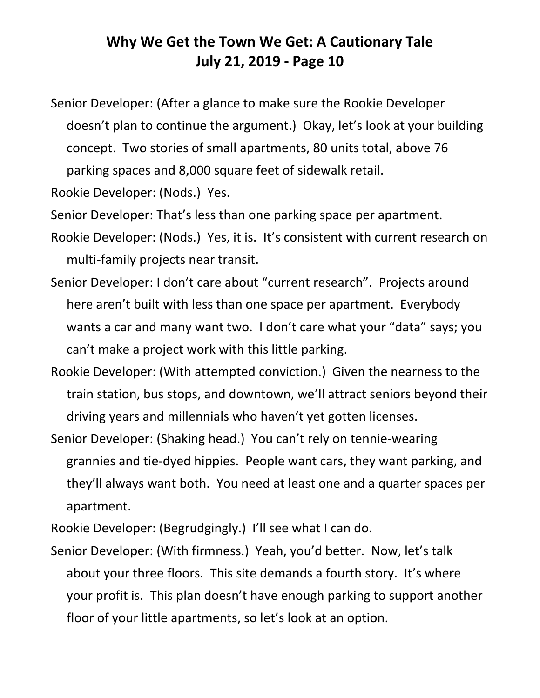Senior Developer: (After a glance to make sure the Rookie Developer doesn't plan to continue the argument.) Okay, let's look at your building concept. Two stories of small apartments, 80 units total, above 76 parking spaces and 8,000 square feet of sidewalk retail.

Rookie Developer: (Nods.) Yes.

Senior Developer: That's less than one parking space per apartment.

- Rookie Developer: (Nods.) Yes, it is. It's consistent with current research on multi-family projects near transit.
- Senior Developer: I don't care about "current research". Projects around here aren't built with less than one space per apartment. Everybody wants a car and many want two. I don't care what your "data" says; you can't make a project work with this little parking.
- Rookie Developer: (With attempted conviction.) Given the nearness to the train station, bus stops, and downtown, we'll attract seniors beyond their driving years and millennials who haven't yet gotten licenses.
- Senior Developer: (Shaking head.) You can't rely on tennie-wearing grannies and tie-dyed hippies. People want cars, they want parking, and they'll always want both. You need at least one and a quarter spaces per apartment.

Rookie Developer: (Begrudgingly.) I'll see what I can do.

Senior Developer: (With firmness.) Yeah, you'd better. Now, let's talk about your three floors. This site demands a fourth story. It's where your profit is. This plan doesn't have enough parking to support another floor of your little apartments, so let's look at an option.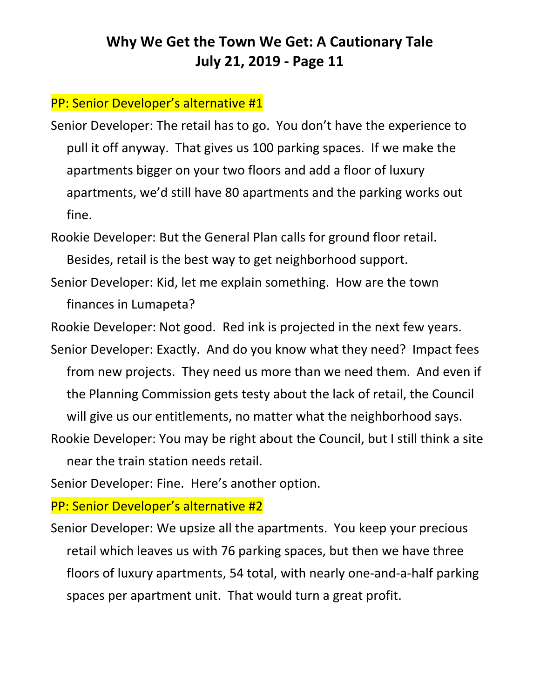#### PP: Senior Developer's alternative #1

Senior Developer: The retail has to go. You don't have the experience to pull it off anyway. That gives us 100 parking spaces. If we make the apartments bigger on your two floors and add a floor of luxury apartments, we'd still have 80 apartments and the parking works out fine.

Rookie Developer: But the General Plan calls for ground floor retail. Besides, retail is the best way to get neighborhood support.

Senior Developer: Kid, let me explain something. How are the town finances in Lumapeta?

Rookie Developer: Not good. Red ink is projected in the next few years.

- Senior Developer: Exactly. And do you know what they need? Impact fees from new projects. They need us more than we need them. And even if the Planning Commission gets testy about the lack of retail, the Council will give us our entitlements, no matter what the neighborhood says.
- Rookie Developer: You may be right about the Council, but I still think a site near the train station needs retail.

Senior Developer: Fine. Here's another option.

PP: Senior Developer's alternative #2

Senior Developer: We upsize all the apartments. You keep your precious retail which leaves us with 76 parking spaces, but then we have three floors of luxury apartments, 54 total, with nearly one-and-a-half parking spaces per apartment unit. That would turn a great profit.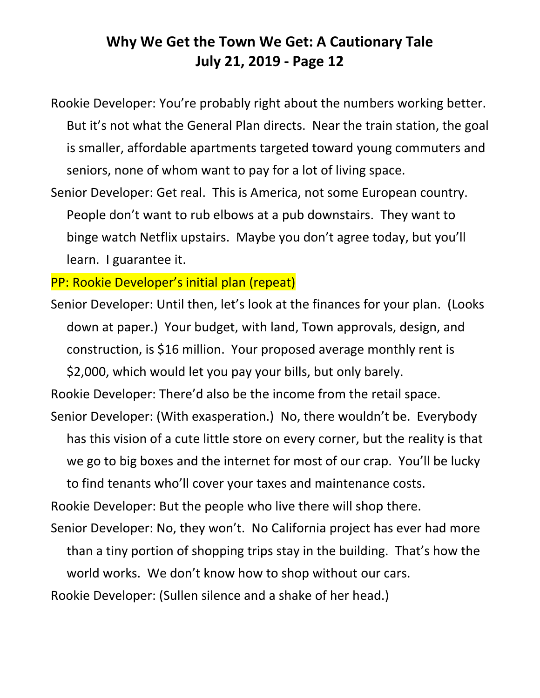Rookie Developer: You're probably right about the numbers working better. But it's not what the General Plan directs. Near the train station, the goal is smaller, affordable apartments targeted toward young commuters and seniors, none of whom want to pay for a lot of living space.

Senior Developer: Get real. This is America, not some European country. People don't want to rub elbows at a pub downstairs. They want to binge watch Netflix upstairs. Maybe you don't agree today, but you'll learn. I guarantee it.

PP: Rookie Developer's initial plan (repeat)

Senior Developer: Until then, let's look at the finances for your plan. (Looks down at paper.) Your budget, with land, Town approvals, design, and construction, is \$16 million. Your proposed average monthly rent is \$2,000, which would let you pay your bills, but only barely.

Rookie Developer: There'd also be the income from the retail space.

Senior Developer: (With exasperation.) No, there wouldn't be. Everybody has this vision of a cute little store on every corner, but the reality is that we go to big boxes and the internet for most of our crap. You'll be lucky to find tenants who'll cover your taxes and maintenance costs.

Rookie Developer: But the people who live there will shop there.

Senior Developer: No, they won't. No California project has ever had more than a tiny portion of shopping trips stay in the building. That's how the world works. We don't know how to shop without our cars.

Rookie Developer: (Sullen silence and a shake of her head.)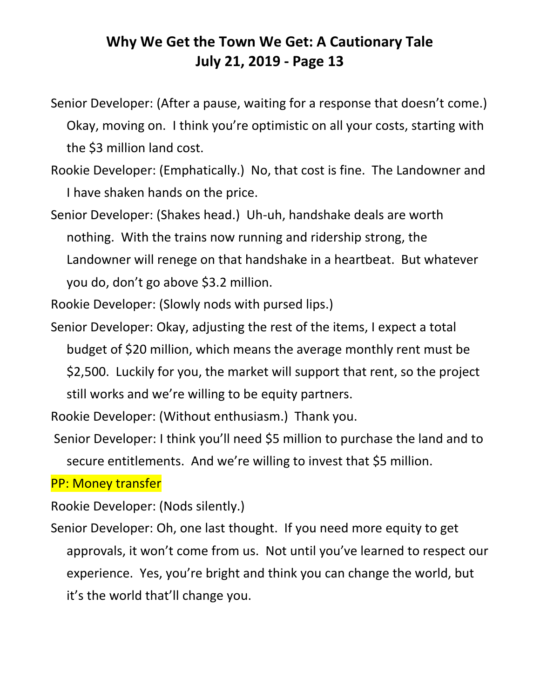- Senior Developer: (After a pause, waiting for a response that doesn't come.) Okay, moving on. I think you're optimistic on all your costs, starting with the \$3 million land cost.
- Rookie Developer: (Emphatically.) No, that cost is fine. The Landowner and I have shaken hands on the price.
- Senior Developer: (Shakes head.) Uh-uh, handshake deals are worth nothing. With the trains now running and ridership strong, the Landowner will renege on that handshake in a heartbeat. But whatever you do, don't go above \$3.2 million.

Rookie Developer: (Slowly nods with pursed lips.)

Senior Developer: Okay, adjusting the rest of the items, I expect a total budget of \$20 million, which means the average monthly rent must be \$2,500. Luckily for you, the market will support that rent, so the project still works and we're willing to be equity partners.

Rookie Developer: (Without enthusiasm.) Thank you.

Senior Developer: I think you'll need \$5 million to purchase the land and to secure entitlements. And we're willing to invest that \$5 million.

#### PP: Money transfer

Rookie Developer: (Nods silently.)

Senior Developer: Oh, one last thought. If you need more equity to get approvals, it won't come from us. Not until you've learned to respect our experience. Yes, you're bright and think you can change the world, but it's the world that'll change you.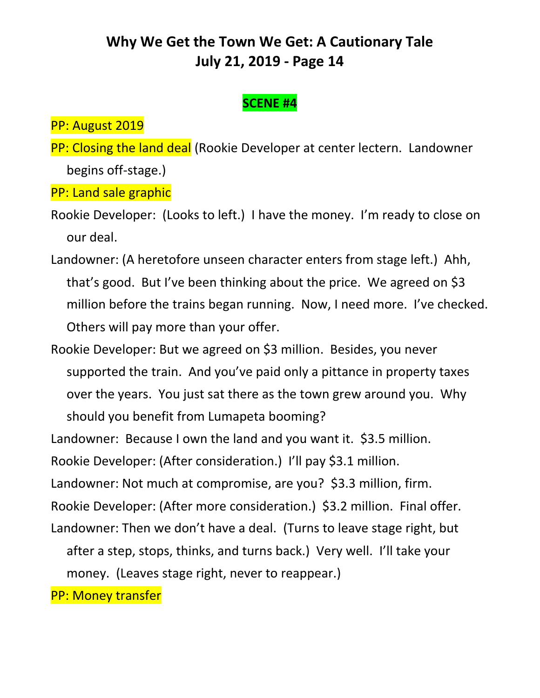### **SCENE #4**

PP: August 2019

PP: Closing the land deal (Rookie Developer at center lectern. Landowner begins off-stage.)

PP: Land sale graphic

- Rookie Developer: (Looks to left.) I have the money. I'm ready to close on our deal.
- Landowner: (A heretofore unseen character enters from stage left.) Ahh, that's good. But I've been thinking about the price. We agreed on \$3 million before the trains began running. Now, I need more. I've checked. Others will pay more than your offer.
- Rookie Developer: But we agreed on \$3 million. Besides, you never supported the train. And you've paid only a pittance in property taxes over the years. You just sat there as the town grew around you. Why should you benefit from Lumapeta booming?
- Landowner: Because I own the land and you want it. \$3.5 million.
- Rookie Developer: (After consideration.) I'll pay \$3.1 million.
- Landowner: Not much at compromise, are you? \$3.3 million, firm.
- Rookie Developer: (After more consideration.) \$3.2 million. Final offer. Landowner: Then we don't have a deal. (Turns to leave stage right, but
	- after a step, stops, thinks, and turns back.) Very well. I'll take your
	- money. (Leaves stage right, never to reappear.)

PP: Money transfer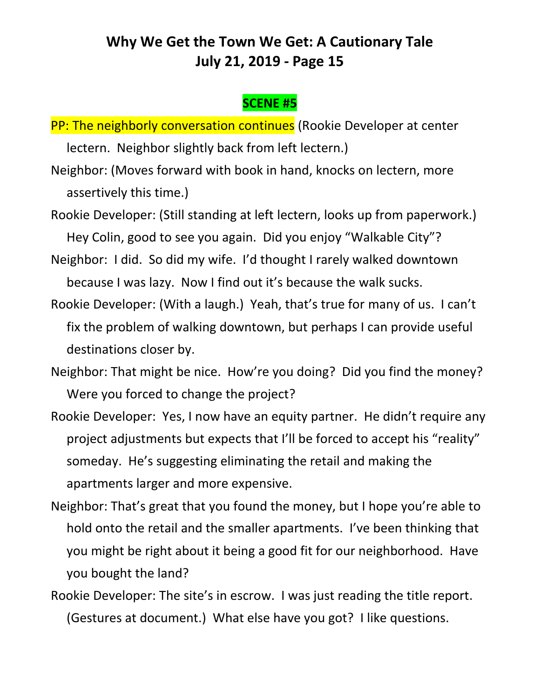### **SCENE #5**

- PP: The neighborly conversation continues (Rookie Developer at center lectern. Neighbor slightly back from left lectern.)
- Neighbor: (Moves forward with book in hand, knocks on lectern, more assertively this time.)
- Rookie Developer: (Still standing at left lectern, looks up from paperwork.) Hey Colin, good to see you again. Did you enjoy "Walkable City"?
- Neighbor: I did. So did my wife. I'd thought I rarely walked downtown because I was lazy. Now I find out it's because the walk sucks.
- Rookie Developer: (With a laugh.) Yeah, that's true for many of us. I can't fix the problem of walking downtown, but perhaps I can provide useful destinations closer by.
- Neighbor: That might be nice. How're you doing? Did you find the money? Were you forced to change the project?
- Rookie Developer: Yes, I now have an equity partner. He didn't require any project adjustments but expects that I'll be forced to accept his "reality" someday. He's suggesting eliminating the retail and making the apartments larger and more expensive.
- Neighbor: That's great that you found the money, but I hope you're able to hold onto the retail and the smaller apartments. I've been thinking that you might be right about it being a good fit for our neighborhood. Have you bought the land?
- Rookie Developer: The site's in escrow. I was just reading the title report. (Gestures at document.) What else have you got? I like questions.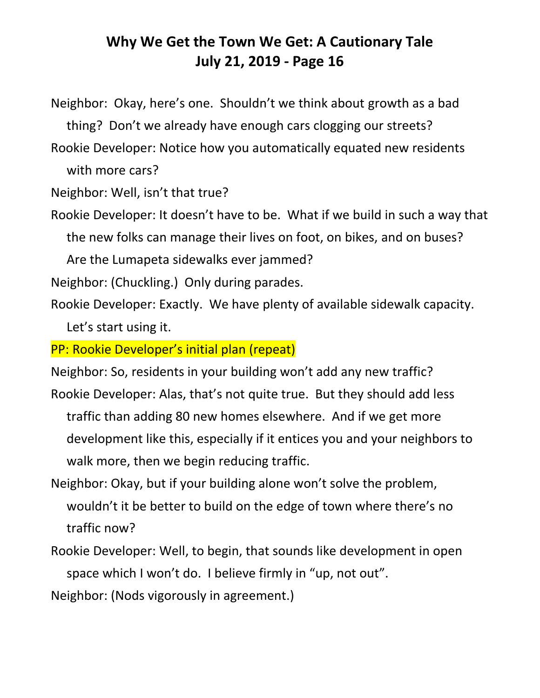Neighbor: Okay, here's one. Shouldn't we think about growth as a bad thing? Don't we already have enough cars clogging our streets? Rookie Developer: Notice how you automatically equated new residents

with more cars?

Neighbor: Well, isn't that true?

Rookie Developer: It doesn't have to be. What if we build in such a way that the new folks can manage their lives on foot, on bikes, and on buses?

Are the Lumapeta sidewalks ever jammed?

Neighbor: (Chuckling.) Only during parades.

Rookie Developer: Exactly. We have plenty of available sidewalk capacity. Let's start using it.

PP: Rookie Developer's initial plan (repeat)

Neighbor: So, residents in your building won't add any new traffic?

- Rookie Developer: Alas, that's not quite true. But they should add less traffic than adding 80 new homes elsewhere. And if we get more development like this, especially if it entices you and your neighbors to walk more, then we begin reducing traffic.
- Neighbor: Okay, but if your building alone won't solve the problem, wouldn't it be better to build on the edge of town where there's no traffic now?
- Rookie Developer: Well, to begin, that sounds like development in open space which I won't do. I believe firmly in "up, not out". Neighbor: (Nods vigorously in agreement.)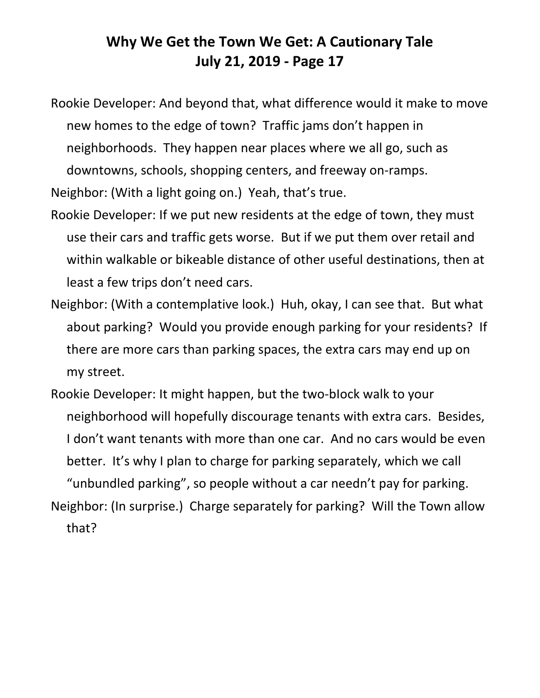Rookie Developer: And beyond that, what difference would it make to move new homes to the edge of town? Traffic jams don't happen in neighborhoods. They happen near places where we all go, such as downtowns, schools, shopping centers, and freeway on-ramps. Neighbor: (With a light going on.) Yeah, that's true.

- Rookie Developer: If we put new residents at the edge of town, they must use their cars and traffic gets worse. But if we put them over retail and within walkable or bikeable distance of other useful destinations, then at least a few trips don't need cars.
- Neighbor: (With a contemplative look.) Huh, okay, I can see that. But what about parking? Would you provide enough parking for your residents? If there are more cars than parking spaces, the extra cars may end up on my street.
- Rookie Developer: It might happen, but the two-bIock walk to your neighborhood will hopefully discourage tenants with extra cars. Besides, I don't want tenants with more than one car. And no cars would be even better. It's why I plan to charge for parking separately, which we call "unbundled parking", so people without a car needn't pay for parking. Neighbor: (In surprise.) Charge separately for parking? Will the Town allow that?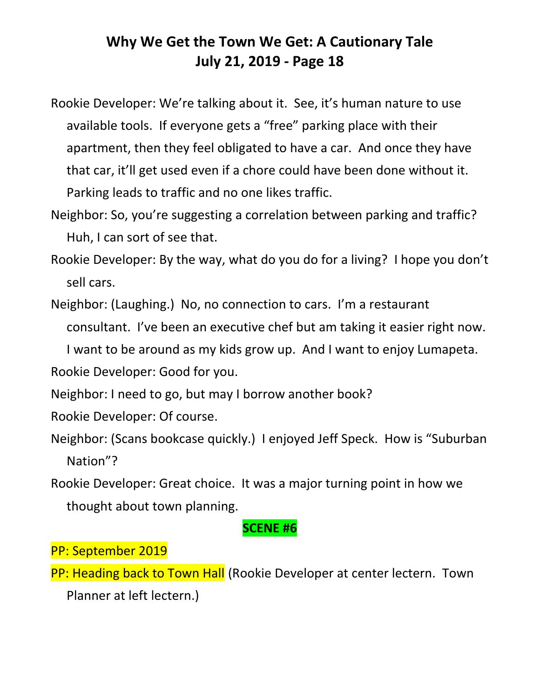Rookie Developer: We're talking about it. See, it's human nature to use available tools. If everyone gets a "free" parking place with their apartment, then they feel obligated to have a car. And once they have that car, it'll get used even if a chore could have been done without it. Parking leads to traffic and no one likes traffic.

- Neighbor: So, you're suggesting a correlation between parking and traffic? Huh, I can sort of see that.
- Rookie Developer: By the way, what do you do for a living? I hope you don't sell cars.

Neighbor: (Laughing.) No, no connection to cars. I'm a restaurant consultant. I've been an executive chef but am taking it easier right now.

I want to be around as my kids grow up. And I want to enjoy Lumapeta.

Rookie Developer: Good for you.

- Neighbor: I need to go, but may I borrow another book?
- Rookie Developer: Of course.
- Neighbor: (Scans bookcase quickly.) I enjoyed Jeff Speck. How is "Suburban Nation"?
- Rookie Developer: Great choice. It was a major turning point in how we thought about town planning.

#### **SCENE #6**

#### PP: September 2019

PP: Heading back to Town Hall (Rookie Developer at center lectern. Town Planner at left lectern.)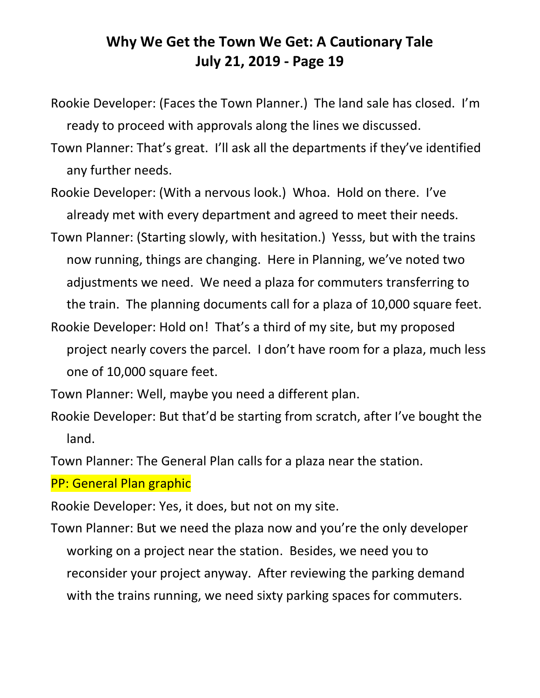- Rookie Developer: (Faces the Town Planner.) The land sale has closed. I'm ready to proceed with approvals along the lines we discussed.
- Town Planner: That's great. I'll ask all the departments if they've identified any further needs.
- Rookie Developer: (With a nervous look.) Whoa. Hold on there. I've already met with every department and agreed to meet their needs.
- Town Planner: (Starting slowly, with hesitation.) Yesss, but with the trains now running, things are changing. Here in Planning, we've noted two adjustments we need. We need a plaza for commuters transferring to the train. The planning documents call for a plaza of 10,000 square feet.
- Rookie Developer: Hold on! That's a third of my site, but my proposed project nearly covers the parcel. I don't have room for a plaza, much less one of 10,000 square feet.
- Town Planner: Well, maybe you need a different plan.
- Rookie Developer: But that'd be starting from scratch, after I've bought the land.

Town Planner: The General Plan calls for a plaza near the station.

PP: General Plan graphic

Rookie Developer: Yes, it does, but not on my site.

Town Planner: But we need the plaza now and you're the only developer working on a project near the station. Besides, we need you to reconsider your project anyway. After reviewing the parking demand with the trains running, we need sixty parking spaces for commuters.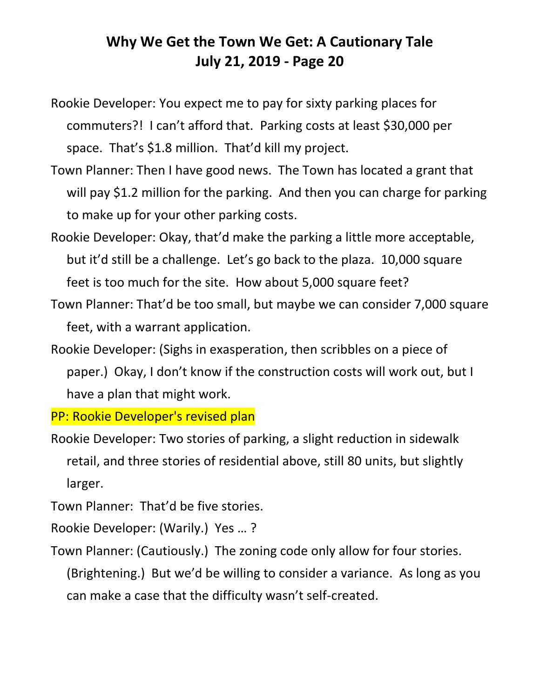- Rookie Developer: You expect me to pay for sixty parking places for commuters?! I can't afford that. Parking costs at least \$30,000 per space. That's \$1.8 million. That'd kill my project.
- Town Planner: Then I have good news. The Town has located a grant that will pay \$1.2 million for the parking. And then you can charge for parking to make up for your other parking costs.
- Rookie Developer: Okay, that'd make the parking a little more acceptable, but it'd still be a challenge. Let's go back to the plaza. 10,000 square feet is too much for the site. How about 5,000 square feet?
- Town Planner: That'd be too small, but maybe we can consider 7,000 square feet, with a warrant application.
- Rookie Developer: (Sighs in exasperation, then scribbles on a piece of paper.) Okay, I don't know if the construction costs will work out, but I have a plan that might work.

PP: Rookie Developer's revised plan

Rookie Developer: Two stories of parking, a slight reduction in sidewalk retail, and three stories of residential above, still 80 units, but slightly larger.

Town Planner: That'd be five stories.

Rookie Developer: (Warily.) Yes … ?

Town Planner: (Cautiously.) The zoning code only allow for four stories.

(Brightening.) But we'd be willing to consider a variance. As long as you can make a case that the difficulty wasn't self-created.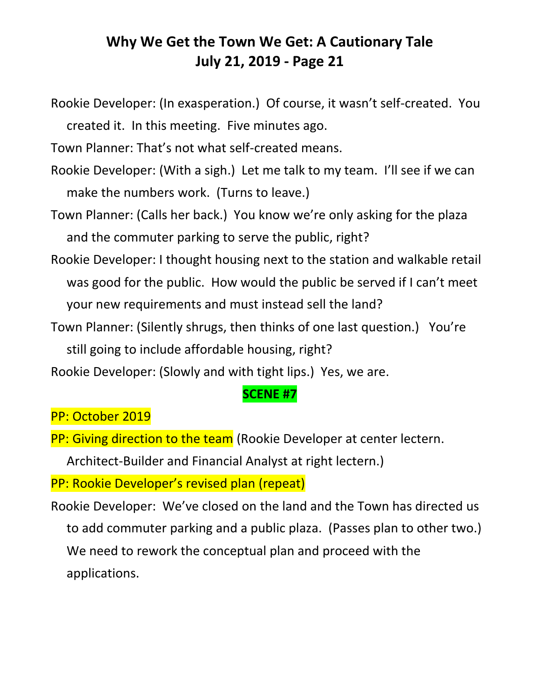Rookie Developer: (In exasperation.) Of course, it wasn't self-created. You created it. In this meeting. Five minutes ago.

Town Planner: That's not what self-created means.

- Rookie Developer: (With a sigh.) Let me talk to my team. I'll see if we can make the numbers work. (Turns to leave.)
- Town Planner: (Calls her back.) You know we're only asking for the plaza and the commuter parking to serve the public, right?
- Rookie Developer: I thought housing next to the station and walkable retail was good for the public. How would the public be served if I can't meet your new requirements and must instead sell the land?
- Town Planner: (Silently shrugs, then thinks of one last question.) You're still going to include affordable housing, right?
- Rookie Developer: (Slowly and with tight lips.) Yes, we are.

#### **SCENE #7**

#### PP: October 2019

PP: Giving direction to the team (Rookie Developer at center lectern.

Architect-Builder and Financial Analyst at right lectern.)

PP: Rookie Developer's revised plan (repeat)

Rookie Developer: We've closed on the land and the Town has directed us to add commuter parking and a public plaza. (Passes plan to other two.) We need to rework the conceptual plan and proceed with the applications.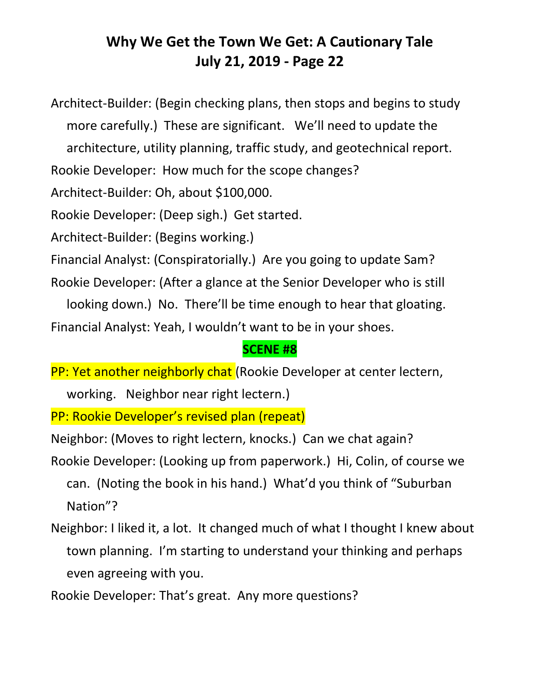Architect-Builder: (Begin checking plans, then stops and begins to study more carefully.) These are significant. We'll need to update the architecture, utility planning, traffic study, and geotechnical report.

Rookie Developer: How much for the scope changes?

Architect-Builder: Oh, about \$100,000.

Rookie Developer: (Deep sigh.) Get started.

Architect-Builder: (Begins working.)

Financial Analyst: (Conspiratorially.) Are you going to update Sam?

Rookie Developer: (After a glance at the Senior Developer who is still

looking down.) No. There'll be time enough to hear that gloating.

Financial Analyst: Yeah, I wouldn't want to be in your shoes.

### **SCENE #8**

PP: Yet another neighborly chat (Rookie Developer at center lectern,

working. Neighbor near right lectern.)

PP: Rookie Developer's revised plan (repeat)

Neighbor: (Moves to right lectern, knocks.) Can we chat again? Rookie Developer: (Looking up from paperwork.) Hi, Colin, of course we can. (Noting the book in his hand.) What'd you think of "Suburban Nation"?

Neighbor: I liked it, a lot. It changed much of what I thought I knew about town planning. I'm starting to understand your thinking and perhaps even agreeing with you.

Rookie Developer: That's great. Any more questions?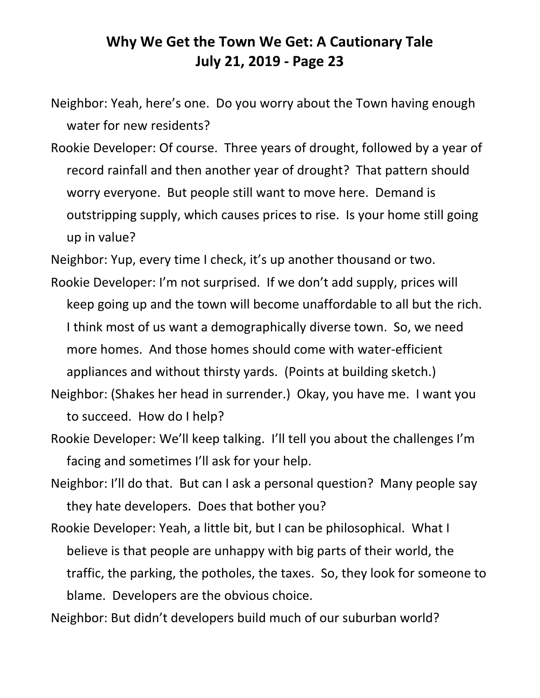Neighbor: Yeah, here's one. Do you worry about the Town having enough water for new residents?

Rookie Developer: Of course. Three years of drought, followed by a year of record rainfall and then another year of drought? That pattern should worry everyone. But people still want to move here. Demand is outstripping supply, which causes prices to rise. Is your home still going up in value?

Neighbor: Yup, every time I check, it's up another thousand or two.

- Rookie Developer: I'm not surprised. If we don't add supply, prices will keep going up and the town will become unaffordable to all but the rich. I think most of us want a demographically diverse town. So, we need more homes. And those homes should come with water-efficient appliances and without thirsty yards. (Points at building sketch.)
- Neighbor: (Shakes her head in surrender.) Okay, you have me. I want you to succeed. How do I help?
- Rookie Developer: We'll keep talking. I'll tell you about the challenges I'm facing and sometimes I'll ask for your help.
- Neighbor: I'll do that. But can I ask a personal question? Many people say they hate developers. Does that bother you?
- Rookie Developer: Yeah, a little bit, but I can be philosophical. What I believe is that people are unhappy with big parts of their world, the traffic, the parking, the potholes, the taxes. So, they look for someone to blame. Developers are the obvious choice.
- Neighbor: But didn't developers build much of our suburban world?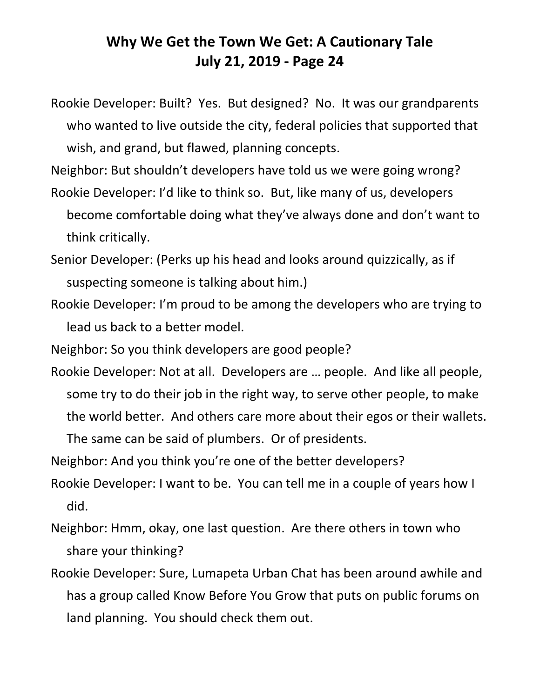Rookie Developer: Built? Yes. But designed? No. It was our grandparents who wanted to live outside the city, federal policies that supported that wish, and grand, but flawed, planning concepts.

Neighbor: But shouldn't developers have told us we were going wrong?

Rookie Developer: I'd like to think so. But, like many of us, developers become comfortable doing what they've always done and don't want to think critically.

Senior Developer: (Perks up his head and looks around quizzically, as if suspecting someone is talking about him.)

Rookie Developer: I'm proud to be among the developers who are trying to lead us back to a better model.

Neighbor: So you think developers are good people?

Rookie Developer: Not at all. Developers are … people. And like all people, some try to do their job in the right way, to serve other people, to make the world better. And others care more about their egos or their wallets.

The same can be said of plumbers. Or of presidents.

Neighbor: And you think you're one of the better developers?

- Rookie Developer: I want to be. You can tell me in a couple of years how I did.
- Neighbor: Hmm, okay, one last question. Are there others in town who share your thinking?
- Rookie Developer: Sure, Lumapeta Urban Chat has been around awhile and has a group called Know Before You Grow that puts on public forums on land planning. You should check them out.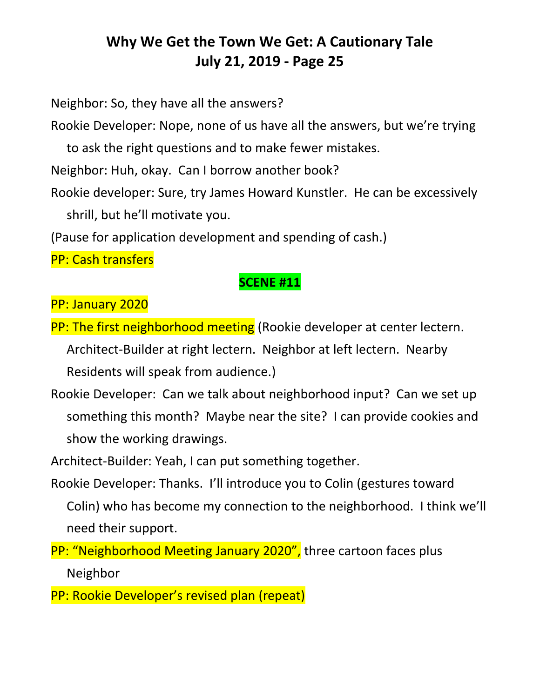Neighbor: So, they have all the answers?

Rookie Developer: Nope, none of us have all the answers, but we're trying

to ask the right questions and to make fewer mistakes.

Neighbor: Huh, okay. Can I borrow another book?

Rookie developer: Sure, try James Howard Kunstler. He can be excessively shrill, but he'll motivate you.

(Pause for application development and spending of cash.)

PP: Cash transfers

### **SCENE #11**

PP: January 2020

- PP: The first neighborhood meeting (Rookie developer at center lectern. Architect-Builder at right lectern. Neighbor at left lectern. Nearby Residents will speak from audience.)
- Rookie Developer: Can we talk about neighborhood input? Can we set up something this month? Maybe near the site? I can provide cookies and show the working drawings.

Architect-Builder: Yeah, I can put something together.

Rookie Developer: Thanks. I'll introduce you to Colin (gestures toward Colin) who has become my connection to the neighborhood. I think we'll need their support.

PP: "Neighborhood Meeting January 2020", three cartoon faces plus Neighbor

PP: Rookie Developer's revised plan (repeat)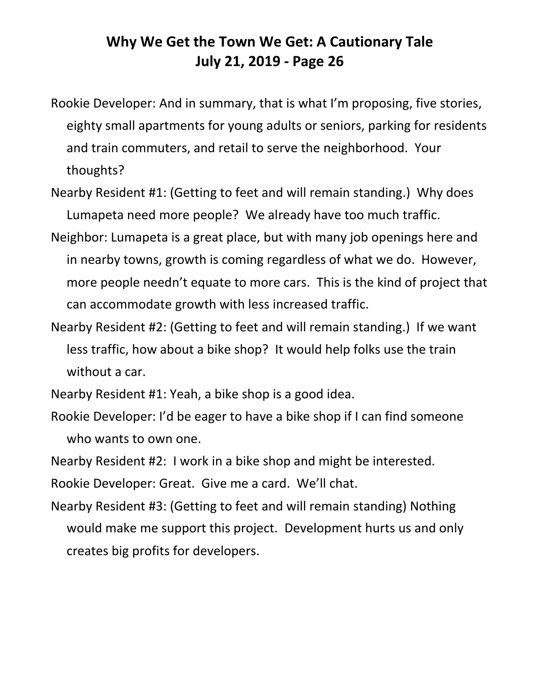- Rookie Developer: And in summary, that is what I'm proposing, five stories, eighty small apartments for young adults or seniors, parking for residents and train commuters, and retail to serve the neighborhood. Your thoughts?
- Nearby Resident #1: (Getting to feet and will remain standing.) Why does Lumapeta need more people? We already have too much traffic.
- Neighbor: Lumapeta is a great place, but with many job openings here and in nearby towns, growth is coming regardless of what we do. However, more people needn't equate to more cars. This is the kind of project that can accommodate growth with less increased traffic.
- Nearby Resident #2: (Getting to feet and will remain standing.) If we want less traffic, how about a bike shop? It would help folks use the train without a car.
- Nearby Resident #1: Yeah, a bike shop is a good idea.
- Rookie Developer: I'd be eager to have a bike shop if I can find someone who wants to own one.

Nearby Resident #2: I work in a bike shop and might be interested.

Rookie Developer: Great. Give me a card. We'll chat.

Nearby Resident #3: (Getting to feet and will remain standing) Nothing would make me support this project. Development hurts us and only creates big profits for developers.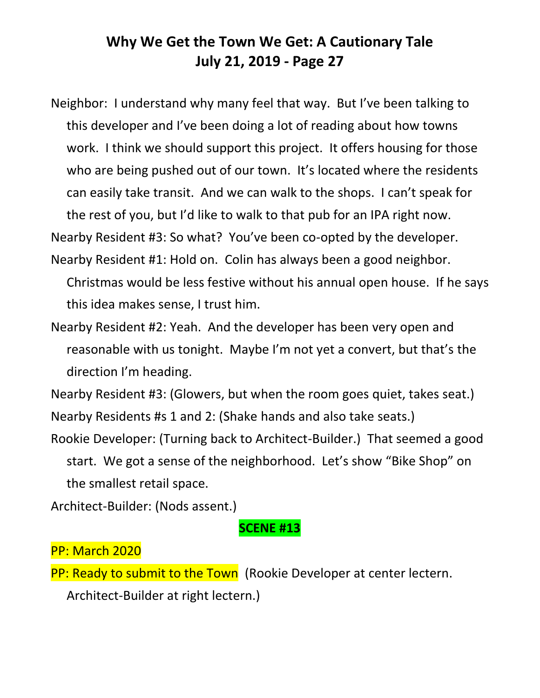Neighbor: I understand why many feel that way. But I've been talking to this developer and I've been doing a lot of reading about how towns work. I think we should support this project. It offers housing for those who are being pushed out of our town. It's located where the residents can easily take transit. And we can walk to the shops. I can't speak for the rest of you, but I'd like to walk to that pub for an IPA right now.

Nearby Resident #3: So what? You've been co-opted by the developer.

- Nearby Resident #1: Hold on. Colin has always been a good neighbor. Christmas would be less festive without his annual open house. If he says this idea makes sense, I trust him.
- Nearby Resident #2: Yeah. And the developer has been very open and reasonable with us tonight. Maybe I'm not yet a convert, but that's the direction I'm heading.

Nearby Resident #3: (Glowers, but when the room goes quiet, takes seat.) Nearby Residents #s 1 and 2: (Shake hands and also take seats.)

Rookie Developer: (Turning back to Architect-Builder.) That seemed a good start. We got a sense of the neighborhood. Let's show "Bike Shop" on the smallest retail space.

Architect-Builder: (Nods assent.)

#### **SCENE #13**

#### PP: March 2020

PP: Ready to submit to the Town (Rookie Developer at center lectern. Architect-Builder at right lectern.)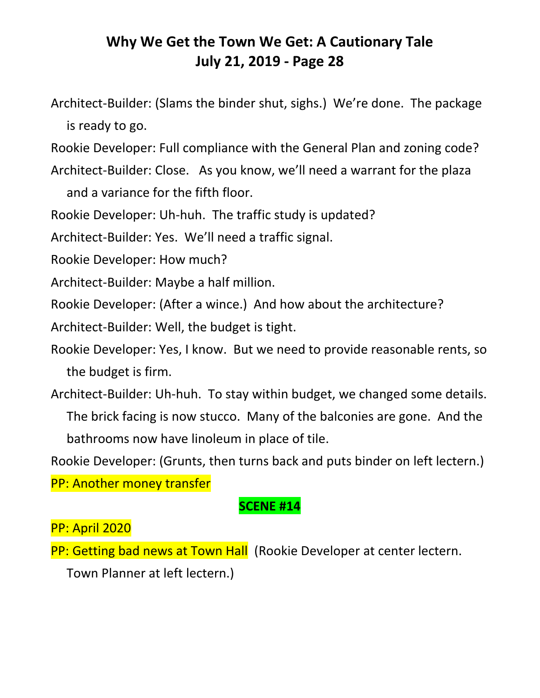Architect-Builder: (Slams the binder shut, sighs.) We're done. The package is ready to go.

Rookie Developer: Full compliance with the General Plan and zoning code?

Architect-Builder: Close. As you know, we'll need a warrant for the plaza

and a variance for the fifth floor.

Rookie Developer: Uh-huh. The traffic study is updated?

Architect-Builder: Yes. We'll need a traffic signal.

Rookie Developer: How much?

Architect-Builder: Maybe a half million.

Rookie Developer: (After a wince.) And how about the architecture?

Architect-Builder: Well, the budget is tight.

Rookie Developer: Yes, I know. But we need to provide reasonable rents, so the budget is firm.

Architect-Builder: Uh-huh. To stay within budget, we changed some details.

The brick facing is now stucco. Many of the balconies are gone. And the bathrooms now have linoleum in place of tile.

Rookie Developer: (Grunts, then turns back and puts binder on left lectern.)

PP: Another money transfer

#### **SCENE #14**

PP: April 2020

PP: Getting bad news at Town Hall (Rookie Developer at center lectern.

Town Planner at left lectern.)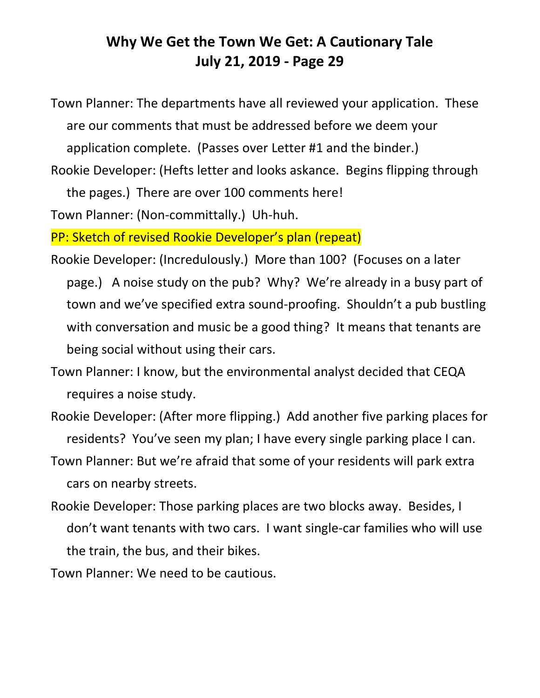Town Planner: The departments have all reviewed your application. These are our comments that must be addressed before we deem your application complete. (Passes over Letter #1 and the binder.)

Rookie Developer: (Hefts letter and looks askance. Begins flipping through the pages.) There are over 100 comments here!

Town Planner: (Non-committally.) Uh-huh.

PP: Sketch of revised Rookie Developer's plan (repeat)

- Rookie Developer: (Incredulously.) More than 100? (Focuses on a later page.) A noise study on the pub? Why? We're already in a busy part of town and we've specified extra sound-proofing. Shouldn't a pub bustling with conversation and music be a good thing? It means that tenants are being social without using their cars.
- Town Planner: I know, but the environmental analyst decided that CEQA requires a noise study.
- Rookie Developer: (After more flipping.) Add another five parking places for residents? You've seen my plan; I have every single parking place I can.
- Town Planner: But we're afraid that some of your residents will park extra cars on nearby streets.
- Rookie Developer: Those parking places are two blocks away. Besides, I don't want tenants with two cars. I want single-car families who will use the train, the bus, and their bikes.

Town Planner: We need to be cautious.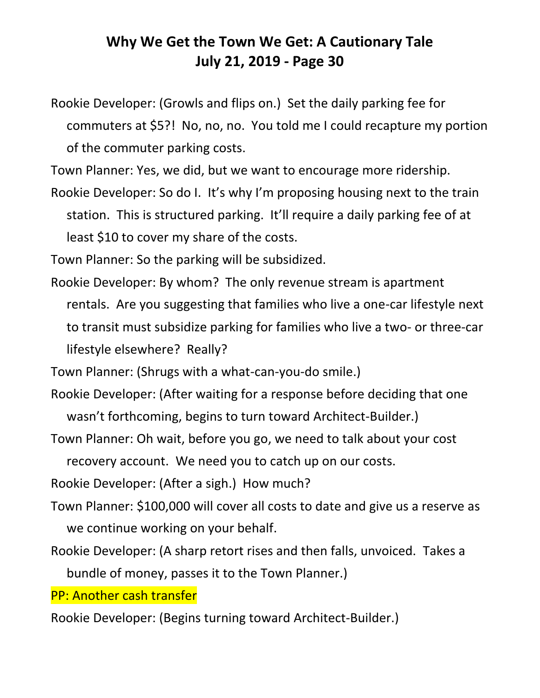Rookie Developer: (Growls and flips on.) Set the daily parking fee for commuters at \$5?! No, no, no. You told me I could recapture my portion of the commuter parking costs.

Town Planner: Yes, we did, but we want to encourage more ridership.

Rookie Developer: So do I. It's why I'm proposing housing next to the train station. This is structured parking. It'll require a daily parking fee of at least \$10 to cover my share of the costs.

Town Planner: So the parking will be subsidized.

Rookie Developer: By whom? The only revenue stream is apartment rentals. Are you suggesting that families who live a one-car lifestyle next to transit must subsidize parking for families who live a two- or three-car lifestyle elsewhere? Really?

Town Planner: (Shrugs with a what-can-you-do smile.)

- Rookie Developer: (After waiting for a response before deciding that one wasn't forthcoming, begins to turn toward Architect-Builder.)
- Town Planner: Oh wait, before you go, we need to talk about your cost recovery account. We need you to catch up on our costs.

Rookie Developer: (After a sigh.) How much?

- Town Planner: \$100,000 will cover all costs to date and give us a reserve as we continue working on your behalf.
- Rookie Developer: (A sharp retort rises and then falls, unvoiced. Takes a bundle of money, passes it to the Town Planner.)

PP: Another cash transfer

Rookie Developer: (Begins turning toward Architect-Builder.)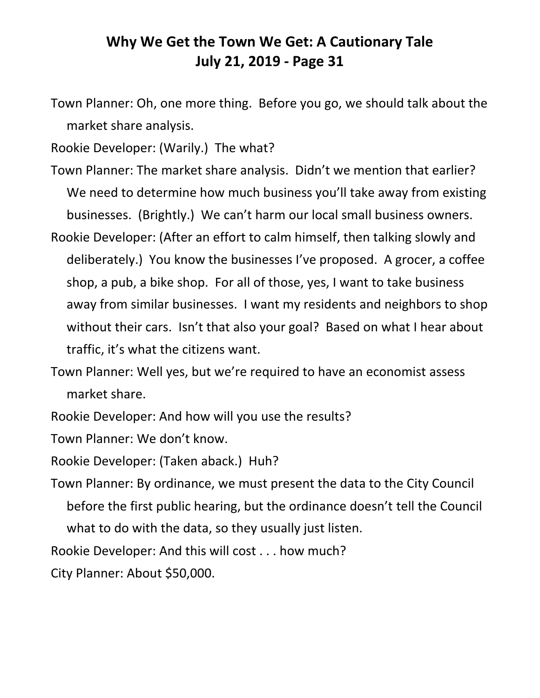Town Planner: Oh, one more thing. Before you go, we should talk about the market share analysis.

Rookie Developer: (Warily.) The what?

- Town Planner: The market share analysis. Didn't we mention that earlier? We need to determine how much business you'll take away from existing businesses. (Brightly.) We can't harm our local small business owners.
- Rookie Developer: (After an effort to calm himself, then talking slowly and deliberately.) You know the businesses I've proposed. A grocer, a coffee shop, a pub, a bike shop. For all of those, yes, I want to take business away from similar businesses. I want my residents and neighbors to shop without their cars. Isn't that also your goal? Based on what I hear about traffic, it's what the citizens want.

Town Planner: Well yes, but we're required to have an economist assess market share.

Rookie Developer: And how will you use the results?

Town Planner: We don't know.

Rookie Developer: (Taken aback.) Huh?

Town Planner: By ordinance, we must present the data to the City Council before the first public hearing, but the ordinance doesn't tell the Council what to do with the data, so they usually just listen.

Rookie Developer: And this will cost . . . how much?

City Planner: About \$50,000.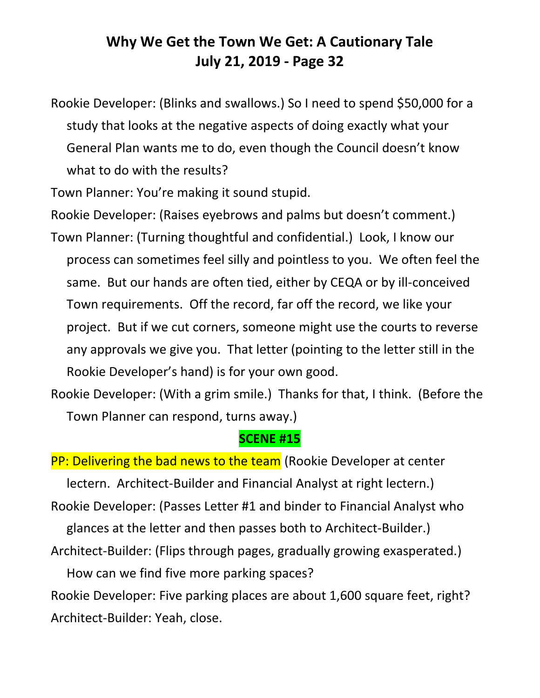Rookie Developer: (Blinks and swallows.) So I need to spend \$50,000 for a study that looks at the negative aspects of doing exactly what your General Plan wants me to do, even though the Council doesn't know what to do with the results?

Town Planner: You're making it sound stupid.

Rookie Developer: (Raises eyebrows and palms but doesn't comment.)

Town Planner: (Turning thoughtful and confidential.) Look, I know our process can sometimes feel silly and pointless to you. We often feel the same. But our hands are often tied, either by CEQA or by ill-conceived Town requirements. Off the record, far off the record, we like your project. But if we cut corners, someone might use the courts to reverse any approvals we give you. That letter (pointing to the letter still in the Rookie Developer's hand) is for your own good.

Rookie Developer: (With a grim smile.) Thanks for that, I think. (Before the Town Planner can respond, turns away.)

#### **SCENE #15**

PP: Delivering the bad news to the team (Rookie Developer at center lectern. Architect-Builder and Financial Analyst at right lectern.) Rookie Developer: (Passes Letter #1 and binder to Financial Analyst who glances at the letter and then passes both to Architect-Builder.) Architect-Builder: (Flips through pages, gradually growing exasperated.) How can we find five more parking spaces? Rookie Developer: Five parking places are about 1,600 square feet, right? Architect-Builder: Yeah, close.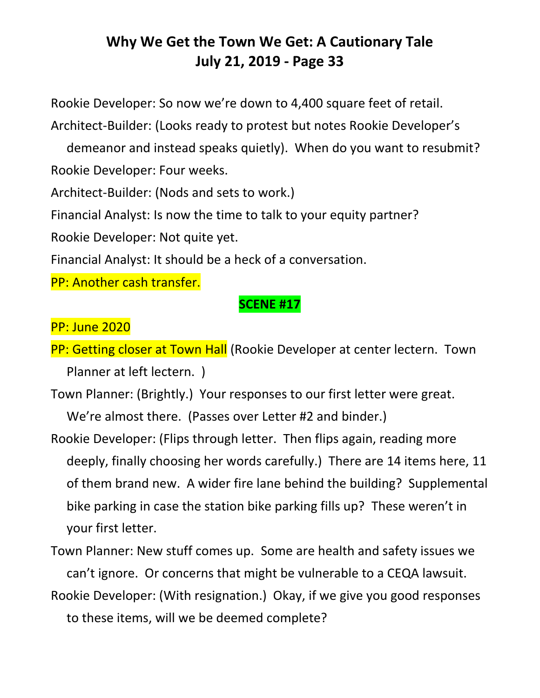Rookie Developer: So now we're down to 4,400 square feet of retail.

Architect-Builder: (Looks ready to protest but notes Rookie Developer's

demeanor and instead speaks quietly). When do you want to resubmit? Rookie Developer: Four weeks.

Architect-Builder: (Nods and sets to work.)

Financial Analyst: Is now the time to talk to your equity partner?

Rookie Developer: Not quite yet.

Financial Analyst: It should be a heck of a conversation.

PP: Another cash transfer.

#### **SCENE #17**

PP: June 2020

PP: Getting closer at Town Hall (Rookie Developer at center lectern. Town Planner at left lectern. )

Town Planner: (Brightly.) Your responses to our first letter were great. We're almost there. (Passes over Letter #2 and binder.)

Rookie Developer: (Flips through letter. Then flips again, reading more deeply, finally choosing her words carefully.) There are 14 items here, 11 of them brand new. A wider fire lane behind the building? Supplemental bike parking in case the station bike parking fills up? These weren't in your first letter.

Town Planner: New stuff comes up. Some are health and safety issues we can't ignore. Or concerns that might be vulnerable to a CEQA lawsuit. Rookie Developer: (With resignation.) Okay, if we give you good responses

to these items, will we be deemed complete?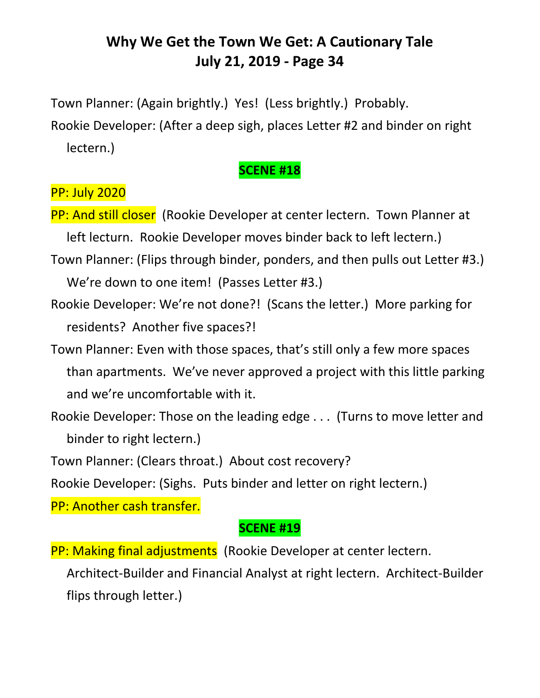Town Planner: (Again brightly.) Yes! (Less brightly.) Probably.

Rookie Developer: (After a deep sigh, places Letter #2 and binder on right lectern.)

#### **SCENE #18**

# PP: July 2020

- PP: And still closer (Rookie Developer at center lectern. Town Planner at left lecturn. Rookie Developer moves binder back to left lectern.)
- Town Planner: (Flips through binder, ponders, and then pulls out Letter #3.) We're down to one item! (Passes Letter #3.)
- Rookie Developer: We're not done?! (Scans the letter.) More parking for residents? Another five spaces?!
- Town Planner: Even with those spaces, that's still only a few more spaces than apartments. We've never approved a project with this little parking and we're uncomfortable with it.
- Rookie Developer: Those on the leading edge . . . (Turns to move letter and binder to right lectern.)
- Town Planner: (Clears throat.) About cost recovery?
- Rookie Developer: (Sighs. Puts binder and letter on right lectern.)

PP: Another cash transfer.

#### **SCENE #19**

PP: Making final adjustments (Rookie Developer at center lectern.

Architect-Builder and Financial Analyst at right lectern. Architect-Builder flips through letter.)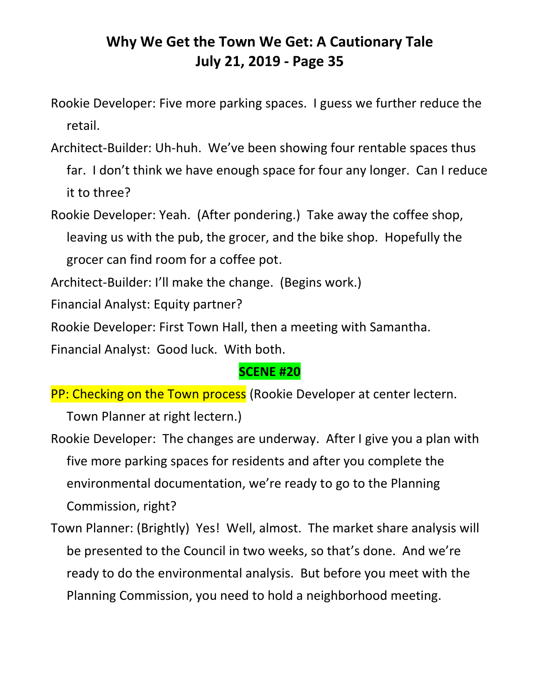- Rookie Developer: Five more parking spaces. I guess we further reduce the retail.
- Architect-Builder: Uh-huh. We've been showing four rentable spaces thus far. I don't think we have enough space for four any longer. Can I reduce it to three?
- Rookie Developer: Yeah. (After pondering.) Take away the coffee shop, leaving us with the pub, the grocer, and the bike shop. Hopefully the grocer can find room for a coffee pot.
- Architect-Builder: I'll make the change. (Begins work.)
- Financial Analyst: Equity partner?
- Rookie Developer: First Town Hall, then a meeting with Samantha.

Financial Analyst: Good luck. With both.

#### **SCENE #20**

PP: Checking on the Town process (Rookie Developer at center lectern.

Town Planner at right lectern.)

- Rookie Developer: The changes are underway. After I give you a plan with five more parking spaces for residents and after you complete the environmental documentation, we're ready to go to the Planning Commission, right?
- Town Planner: (Brightly) Yes! Well, almost. The market share analysis will be presented to the Council in two weeks, so that's done. And we're ready to do the environmental analysis. But before you meet with the Planning Commission, you need to hold a neighborhood meeting.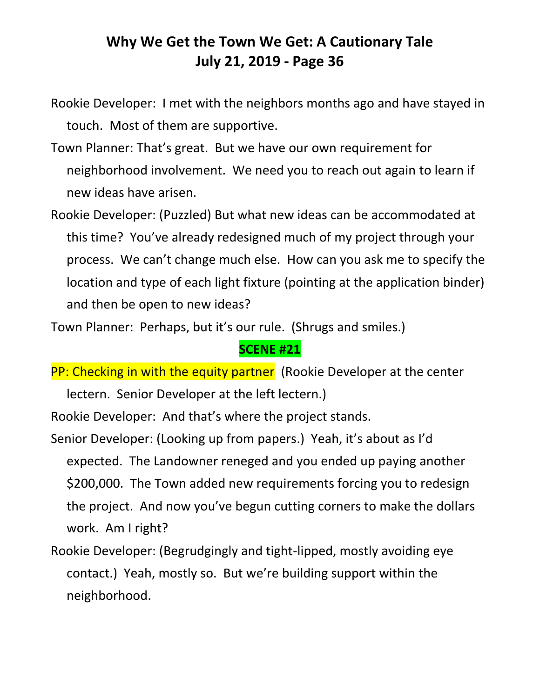- Rookie Developer: I met with the neighbors months ago and have stayed in touch. Most of them are supportive.
- Town Planner: That's great. But we have our own requirement for neighborhood involvement. We need you to reach out again to learn if new ideas have arisen.
- Rookie Developer: (Puzzled) But what new ideas can be accommodated at this time? You've already redesigned much of my project through your process. We can't change much else. How can you ask me to specify the location and type of each light fixture (pointing at the application binder) and then be open to new ideas?

Town Planner: Perhaps, but it's our rule. (Shrugs and smiles.)

#### **SCENE #21**

PP: Checking in with the equity partner (Rookie Developer at the center lectern. Senior Developer at the left lectern.)

Rookie Developer: And that's where the project stands.

- Senior Developer: (Looking up from papers.) Yeah, it's about as I'd expected. The Landowner reneged and you ended up paying another \$200,000. The Town added new requirements forcing you to redesign the project. And now you've begun cutting corners to make the dollars work. Am I right?
- Rookie Developer: (Begrudgingly and tight-lipped, mostly avoiding eye contact.) Yeah, mostly so. But we're building support within the neighborhood.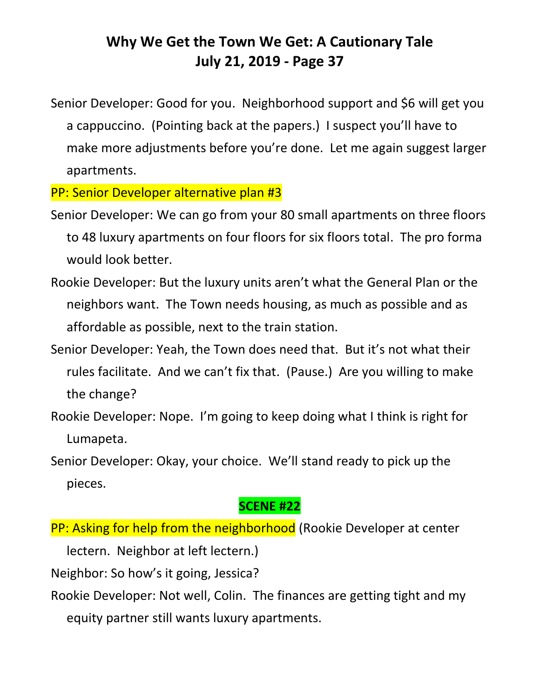Senior Developer: Good for you. Neighborhood support and \$6 will get you a cappuccino. (Pointing back at the papers.) I suspect you'll have to make more adjustments before you're done. Let me again suggest larger apartments.

PP: Senior Developer alternative plan #3

- Senior Developer: We can go from your 80 small apartments on three floors to 48 luxury apartments on four floors for six floors total. The pro forma would look better.
- Rookie Developer: But the luxury units aren't what the General Plan or the neighbors want. The Town needs housing, as much as possible and as affordable as possible, next to the train station.
- Senior Developer: Yeah, the Town does need that. But it's not what their rules facilitate. And we can't fix that. (Pause.) Are you willing to make the change?
- Rookie Developer: Nope. I'm going to keep doing what I think is right for Lumapeta.

Senior Developer: Okay, your choice. We'll stand ready to pick up the pieces.

#### **SCENE #22**

PP: Asking for help from the neighborhood (Rookie Developer at center

lectern. Neighbor at left lectern.)

Neighbor: So how's it going, Jessica?

Rookie Developer: Not well, Colin. The finances are getting tight and my equity partner still wants luxury apartments.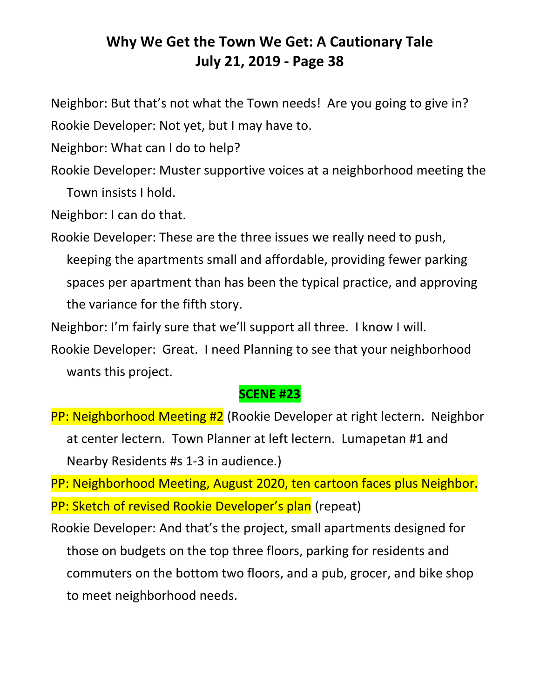Neighbor: But that's not what the Town needs! Are you going to give in? Rookie Developer: Not yet, but I may have to.

Neighbor: What can I do to help?

Rookie Developer: Muster supportive voices at a neighborhood meeting the Town insists I hold.

Neighbor: I can do that.

Rookie Developer: These are the three issues we really need to push, keeping the apartments small and affordable, providing fewer parking spaces per apartment than has been the typical practice, and approving the variance for the fifth story.

Neighbor: I'm fairly sure that we'll support all three. I know I will.

Rookie Developer: Great. I need Planning to see that your neighborhood wants this project.

#### **SCENE #23**

PP: Neighborhood Meeting #2 (Rookie Developer at right lectern. Neighbor at center lectern. Town Planner at left lectern. Lumapetan #1 and Nearby Residents #s 1-3 in audience.)

PP: Neighborhood Meeting, August 2020, ten cartoon faces plus Neighbor. PP: Sketch of revised Rookie Developer's plan (repeat)

Rookie Developer: And that's the project, small apartments designed for those on budgets on the top three floors, parking for residents and commuters on the bottom two floors, and a pub, grocer, and bike shop to meet neighborhood needs.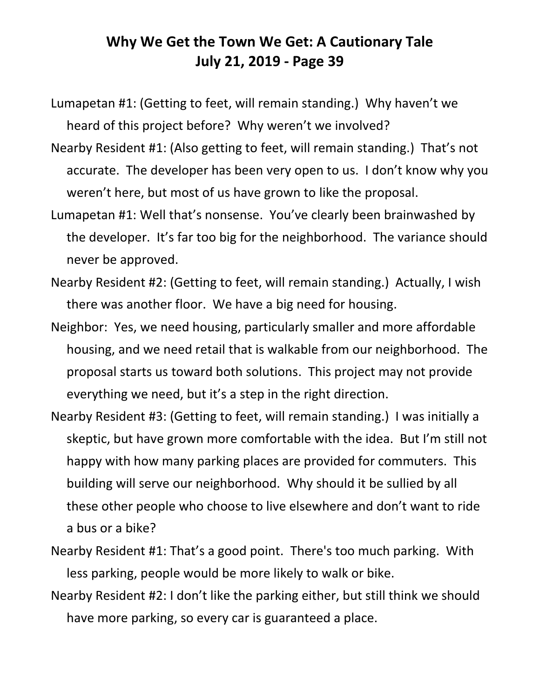Lumapetan #1: (Getting to feet, will remain standing.) Why haven't we heard of this project before? Why weren't we involved?

- Nearby Resident #1: (Also getting to feet, will remain standing.) That's not accurate. The developer has been very open to us. I don't know why you weren't here, but most of us have grown to like the proposal.
- Lumapetan #1: Well that's nonsense. You've clearly been brainwashed by the developer. It's far too big for the neighborhood. The variance should never be approved.
- Nearby Resident #2: (Getting to feet, will remain standing.) Actually, I wish there was another floor. We have a big need for housing.
- Neighbor: Yes, we need housing, particularly smaller and more affordable housing, and we need retail that is walkable from our neighborhood. The proposal starts us toward both solutions. This project may not provide everything we need, but it's a step in the right direction.
- Nearby Resident #3: (Getting to feet, will remain standing.) I was initially a skeptic, but have grown more comfortable with the idea. But I'm still not happy with how many parking places are provided for commuters. This building will serve our neighborhood. Why should it be sullied by all these other people who choose to live elsewhere and don't want to ride a bus or a bike?
- Nearby Resident #1: That's a good point. There's too much parking. With less parking, people would be more likely to walk or bike.
- Nearby Resident #2: I don't like the parking either, but still think we should have more parking, so every car is guaranteed a place.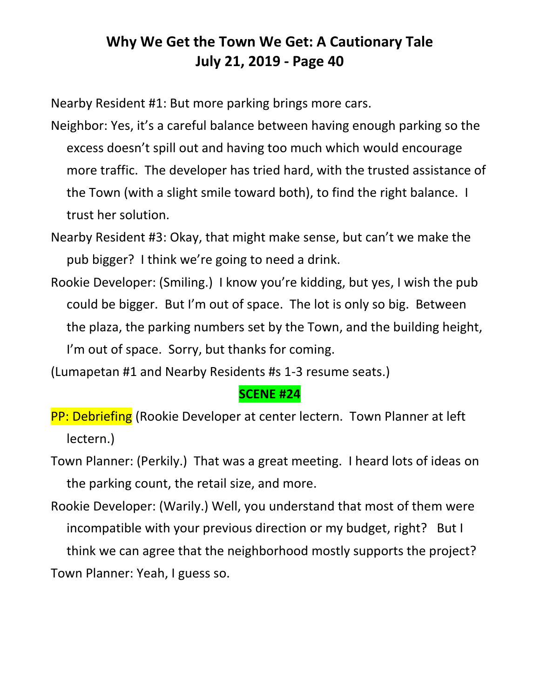Nearby Resident #1: But more parking brings more cars.

- Neighbor: Yes, it's a careful balance between having enough parking so the excess doesn't spill out and having too much which would encourage more traffic. The developer has tried hard, with the trusted assistance of the Town (with a slight smile toward both), to find the right balance. I trust her solution.
- Nearby Resident #3: Okay, that might make sense, but can't we make the pub bigger? I think we're going to need a drink.
- Rookie Developer: (Smiling.) I know you're kidding, but yes, I wish the pub could be bigger. But I'm out of space. The lot is only so big. Between the plaza, the parking numbers set by the Town, and the building height, I'm out of space. Sorry, but thanks for coming.
- (Lumapetan #1 and Nearby Residents #s 1-3 resume seats.)

#### **SCENE #24**

- PP: Debriefing (Rookie Developer at center lectern. Town Planner at left lectern.)
- Town Planner: (Perkily.) That was a great meeting. I heard lots of ideas on the parking count, the retail size, and more.
- Rookie Developer: (Warily.) Well, you understand that most of them were incompatible with your previous direction or my budget, right? But I think we can agree that the neighborhood mostly supports the project? Town Planner: Yeah, I guess so.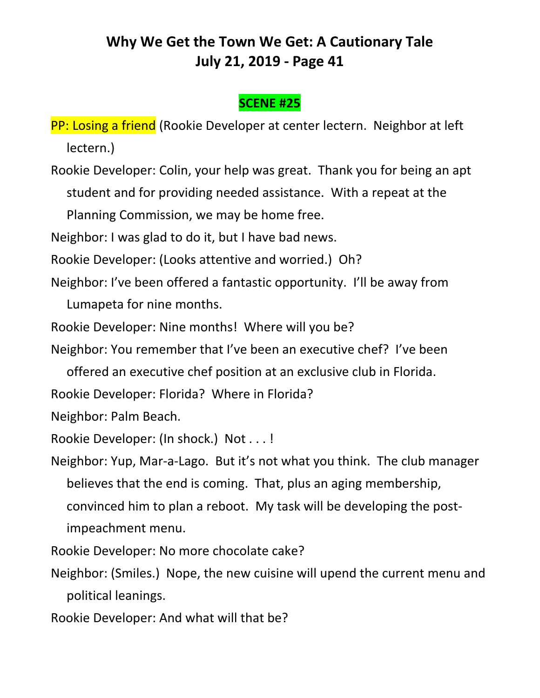#### **SCENE #25**

PP: Losing a friend (Rookie Developer at center lectern. Neighbor at left lectern.)

Rookie Developer: Colin, your help was great. Thank you for being an apt student and for providing needed assistance. With a repeat at the Planning Commission, we may be home free.

Neighbor: I was glad to do it, but I have bad news.

Rookie Developer: (Looks attentive and worried.) Oh?

Neighbor: I've been offered a fantastic opportunity. I'll be away from

Lumapeta for nine months.

Rookie Developer: Nine months! Where will you be?

Neighbor: You remember that I've been an executive chef? I've been

offered an executive chef position at an exclusive club in Florida.

Rookie Developer: Florida? Where in Florida?

Neighbor: Palm Beach.

Rookie Developer: (In shock.) Not . . . !

Neighbor: Yup, Mar-a-Lago. But it's not what you think. The club manager believes that the end is coming. That, plus an aging membership, convinced him to plan a reboot. My task will be developing the postimpeachment menu.

Rookie Developer: No more chocolate cake?

Neighbor: (Smiles.) Nope, the new cuisine will upend the current menu and political leanings.

Rookie Developer: And what will that be?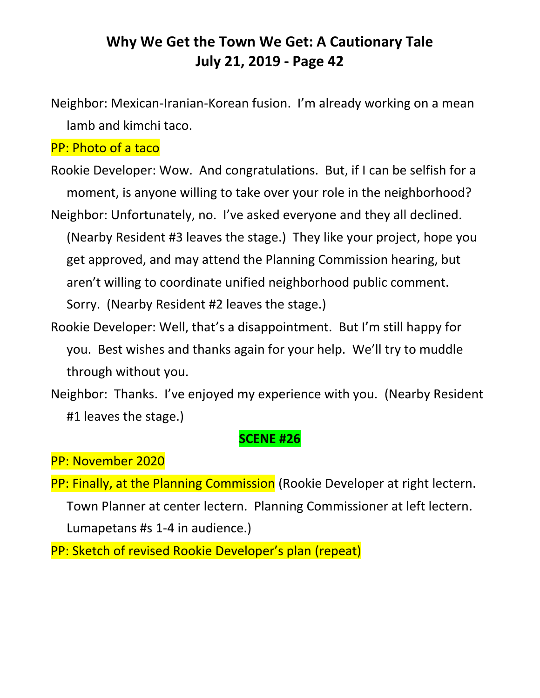Neighbor: Mexican-Iranian-Korean fusion. I'm already working on a mean lamb and kimchi taco.

#### PP: Photo of a taco

Rookie Developer: Wow. And congratulations. But, if I can be selfish for a moment, is anyone willing to take over your role in the neighborhood? Neighbor: Unfortunately, no. I've asked everyone and they all declined.

(Nearby Resident #3 leaves the stage.) They like your project, hope you get approved, and may attend the Planning Commission hearing, but aren't willing to coordinate unified neighborhood public comment. Sorry. (Nearby Resident #2 leaves the stage.)

Rookie Developer: Well, that's a disappointment. But I'm still happy for you. Best wishes and thanks again for your help. We'll try to muddle through without you.

Neighbor: Thanks. I've enjoyed my experience with you. (Nearby Resident #1 leaves the stage.)

#### **SCENE #26**

#### PP: November 2020

PP: Finally, at the Planning Commission (Rookie Developer at right lectern. Town Planner at center lectern. Planning Commissioner at left lectern. Lumapetans #s 1-4 in audience.)

PP: Sketch of revised Rookie Developer's plan (repeat)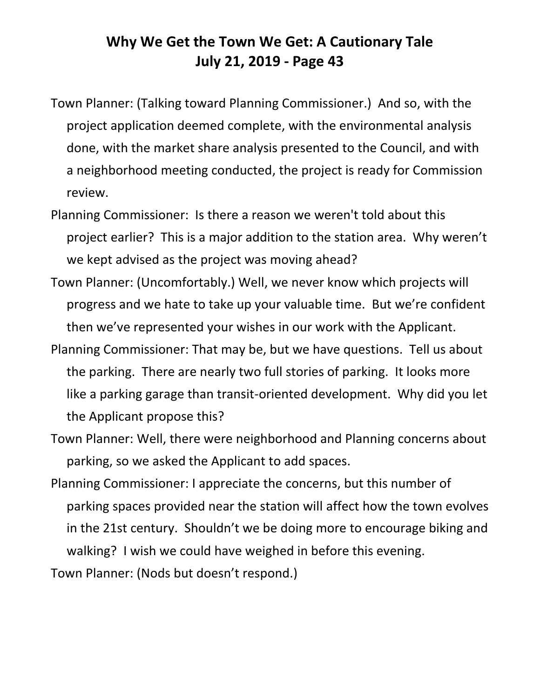- Town Planner: (Talking toward Planning Commissioner.) And so, with the project application deemed complete, with the environmental analysis done, with the market share analysis presented to the Council, and with a neighborhood meeting conducted, the project is ready for Commission review.
- Planning Commissioner: Is there a reason we weren't told about this project earlier? This is a major addition to the station area. Why weren't we kept advised as the project was moving ahead?
- Town Planner: (Uncomfortably.) Well, we never know which projects will progress and we hate to take up your valuable time. But we're confident then we've represented your wishes in our work with the Applicant.
- Planning Commissioner: That may be, but we have questions. Tell us about the parking. There are nearly two full stories of parking. It looks more like a parking garage than transit-oriented development. Why did you let the Applicant propose this?
- Town Planner: Well, there were neighborhood and Planning concerns about parking, so we asked the Applicant to add spaces.
- Planning Commissioner: I appreciate the concerns, but this number of parking spaces provided near the station will affect how the town evolves in the 21st century. Shouldn't we be doing more to encourage biking and walking? I wish we could have weighed in before this evening. Town Planner: (Nods but doesn't respond.)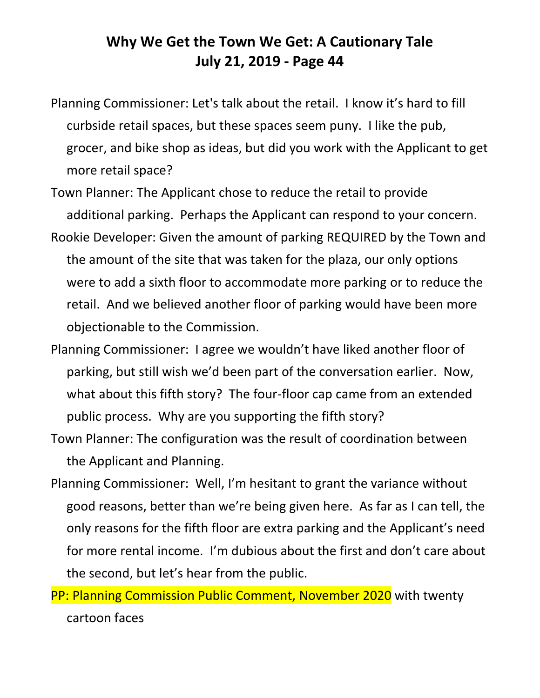- Planning Commissioner: Let's talk about the retail. I know it's hard to fill curbside retail spaces, but these spaces seem puny. I like the pub, grocer, and bike shop as ideas, but did you work with the Applicant to get more retail space?
- Town Planner: The Applicant chose to reduce the retail to provide additional parking. Perhaps the Applicant can respond to your concern.
- Rookie Developer: Given the amount of parking REQUIRED by the Town and the amount of the site that was taken for the plaza, our only options were to add a sixth floor to accommodate more parking or to reduce the retail. And we believed another floor of parking would have been more objectionable to the Commission.
- Planning Commissioner: I agree we wouldn't have liked another floor of parking, but still wish we'd been part of the conversation earlier. Now, what about this fifth story? The four-floor cap came from an extended public process. Why are you supporting the fifth story?
- Town Planner: The configuration was the result of coordination between the Applicant and Planning.
- Planning Commissioner: Well, I'm hesitant to grant the variance without good reasons, better than we're being given here. As far as I can tell, the only reasons for the fifth floor are extra parking and the Applicant's need for more rental income. I'm dubious about the first and don't care about the second, but let's hear from the public.
- PP: Planning Commission Public Comment, November 2020 with twenty cartoon faces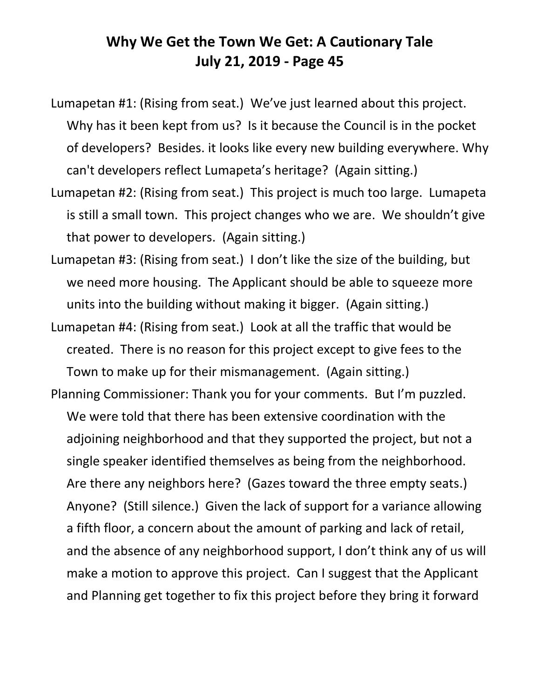Lumapetan #1: (Rising from seat.) We've just learned about this project. Why has it been kept from us? Is it because the Council is in the pocket of developers? Besides. it looks like every new building everywhere. Why can't developers reflect Lumapeta's heritage? (Again sitting.)

- Lumapetan #2: (Rising from seat.) This project is much too large. Lumapeta is still a small town. This project changes who we are. We shouldn't give that power to developers. (Again sitting.)
- Lumapetan #3: (Rising from seat.) I don't like the size of the building, but we need more housing. The Applicant should be able to squeeze more units into the building without making it bigger. (Again sitting.)
- Lumapetan #4: (Rising from seat.) Look at all the traffic that would be created. There is no reason for this project except to give fees to the Town to make up for their mismanagement. (Again sitting.)
- Planning Commissioner: Thank you for your comments. But I'm puzzled. We were told that there has been extensive coordination with the adjoining neighborhood and that they supported the project, but not a single speaker identified themselves as being from the neighborhood. Are there any neighbors here? (Gazes toward the three empty seats.) Anyone? (Still silence.) Given the lack of support for a variance allowing a fifth floor, a concern about the amount of parking and lack of retail, and the absence of any neighborhood support, I don't think any of us will make a motion to approve this project. Can I suggest that the Applicant and Planning get together to fix this project before they bring it forward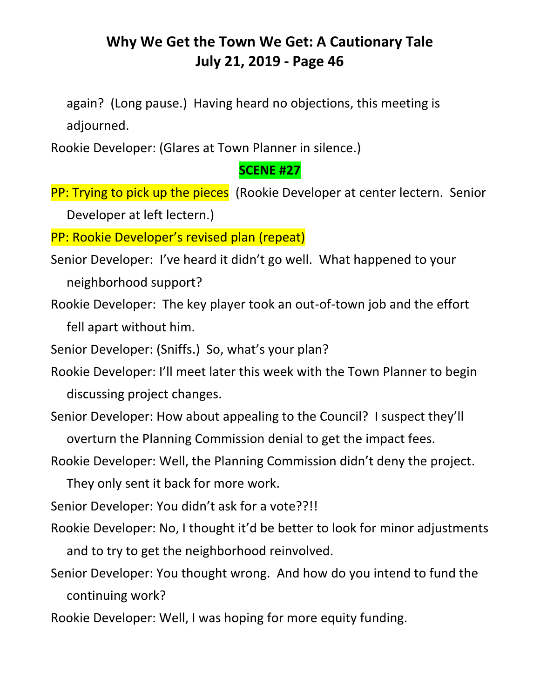again? (Long pause.) Having heard no objections, this meeting is adjourned.

Rookie Developer: (Glares at Town Planner in silence.)

#### **SCENE #27**

PP: Trying to pick up the pieces (Rookie Developer at center lectern. Senior Developer at left lectern.)

PP: Rookie Developer's revised plan (repeat)

Senior Developer: I've heard it didn't go well. What happened to your neighborhood support?

Rookie Developer: The key player took an out-of-town job and the effort fell apart without him.

Senior Developer: (Sniffs.) So, what's your plan?

Rookie Developer: I'll meet later this week with the Town Planner to begin discussing project changes.

Senior Developer: How about appealing to the Council? I suspect they'll

overturn the Planning Commission denial to get the impact fees.

Rookie Developer: Well, the Planning Commission didn't deny the project.

They only sent it back for more work.

Senior Developer: You didn't ask for a vote??!!

- Rookie Developer: No, I thought it'd be better to look for minor adjustments and to try to get the neighborhood reinvolved.
- Senior Developer: You thought wrong. And how do you intend to fund the continuing work?
- Rookie Developer: Well, I was hoping for more equity funding.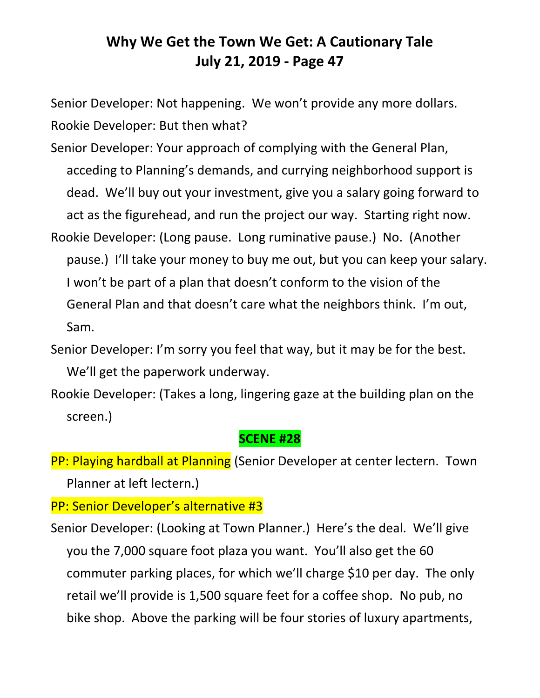Senior Developer: Not happening. We won't provide any more dollars. Rookie Developer: But then what?

- Senior Developer: Your approach of complying with the General Plan, acceding to Planning's demands, and currying neighborhood support is dead. We'll buy out your investment, give you a salary going forward to act as the figurehead, and run the project our way. Starting right now.
- Rookie Developer: (Long pause. Long ruminative pause.) No. (Another pause.) I'll take your money to buy me out, but you can keep your salary. I won't be part of a plan that doesn't conform to the vision of the General Plan and that doesn't care what the neighbors think. I'm out, Sam.
- Senior Developer: I'm sorry you feel that way, but it may be for the best. We'll get the paperwork underway.
- Rookie Developer: (Takes a long, lingering gaze at the building plan on the screen.)

#### **SCENE #28**

PP: Playing hardball at Planning (Senior Developer at center lectern. Town Planner at left lectern.)

PP: Senior Developer's alternative #3

Senior Developer: (Looking at Town Planner.) Here's the deal. We'll give you the 7,000 square foot plaza you want. You'll also get the 60 commuter parking places, for which we'll charge \$10 per day. The only retail we'll provide is 1,500 square feet for a coffee shop. No pub, no bike shop. Above the parking will be four stories of luxury apartments,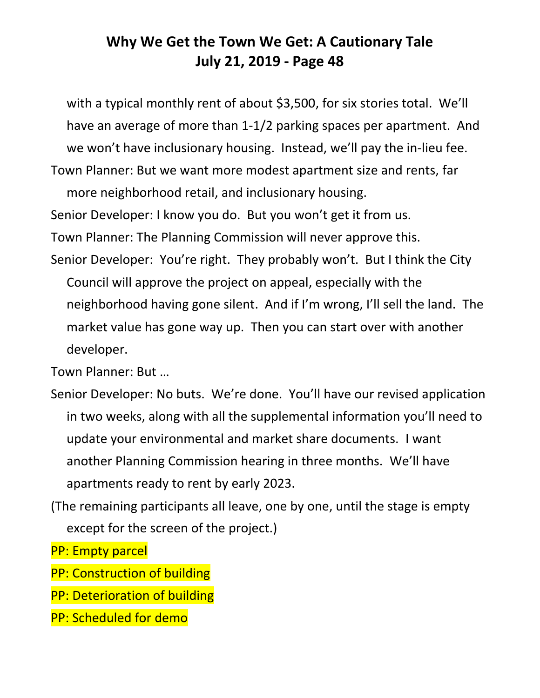with a typical monthly rent of about \$3,500, for six stories total. We'll have an average of more than 1-1/2 parking spaces per apartment. And we won't have inclusionary housing. Instead, we'll pay the in-lieu fee.

Town Planner: But we want more modest apartment size and rents, far more neighborhood retail, and inclusionary housing.

Senior Developer: I know you do. But you won't get it from us.

Town Planner: The Planning Commission will never approve this.

Senior Developer: You're right. They probably won't. But I think the City Council will approve the project on appeal, especially with the neighborhood having gone silent. And if I'm wrong, I'll sell the land. The market value has gone way up. Then you can start over with another developer.

Town Planner: But …

- Senior Developer: No buts. We're done. You'll have our revised application in two weeks, along with all the supplemental information you'll need to update your environmental and market share documents. I want another Planning Commission hearing in three months. We'll have apartments ready to rent by early 2023.
- (The remaining participants all leave, one by one, until the stage is empty except for the screen of the project.)

PP: Empty parcel

- PP: Construction of building
- PP: Deterioration of building
- PP: Scheduled for demo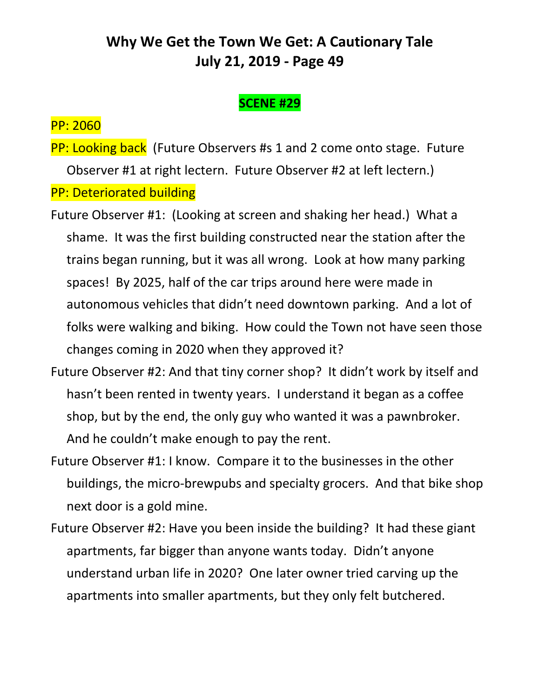#### **SCENE #29**

#### PP: 2060

**PP: Looking back** (Future Observers #s 1 and 2 come onto stage. Future Observer #1 at right lectern. Future Observer #2 at left lectern.) PP: Deteriorated building

- Future Observer #1: (Looking at screen and shaking her head.) What a shame. It was the first building constructed near the station after the trains began running, but it was all wrong. Look at how many parking spaces! By 2025, half of the car trips around here were made in autonomous vehicles that didn't need downtown parking. And a lot of folks were walking and biking. How could the Town not have seen those changes coming in 2020 when they approved it?
- Future Observer #2: And that tiny corner shop? It didn't work by itself and hasn't been rented in twenty years. I understand it began as a coffee shop, but by the end, the only guy who wanted it was a pawnbroker. And he couldn't make enough to pay the rent.
- Future Observer #1: I know. Compare it to the businesses in the other buildings, the micro-brewpubs and specialty grocers. And that bike shop next door is a gold mine.
- Future Observer #2: Have you been inside the building? It had these giant apartments, far bigger than anyone wants today. Didn't anyone understand urban life in 2020? One later owner tried carving up the apartments into smaller apartments, but they only felt butchered.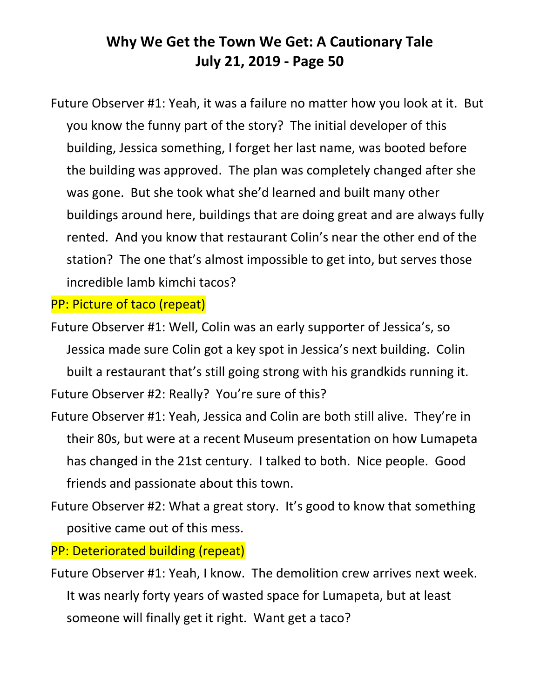Future Observer #1: Yeah, it was a failure no matter how you look at it. But you know the funny part of the story? The initial developer of this building, Jessica something, I forget her last name, was booted before the building was approved. The plan was completely changed after she was gone. But she took what she'd learned and built many other buildings around here, buildings that are doing great and are always fully rented. And you know that restaurant Colin's near the other end of the station? The one that's almost impossible to get into, but serves those incredible lamb kimchi tacos?

PP: Picture of taco (repeat)

Future Observer #1: Well, Colin was an early supporter of Jessica's, so Jessica made sure Colin got a key spot in Jessica's next building. Colin built a restaurant that's still going strong with his grandkids running it. Future Observer #2: Really? You're sure of this?

Future Observer #1: Yeah, Jessica and Colin are both still alive. They're in their 80s, but were at a recent Museum presentation on how Lumapeta has changed in the 21st century. I talked to both. Nice people. Good friends and passionate about this town.

Future Observer #2: What a great story. It's good to know that something positive came out of this mess.

PP: Deteriorated building (repeat)

Future Observer #1: Yeah, I know. The demolition crew arrives next week. It was nearly forty years of wasted space for Lumapeta, but at least someone will finally get it right. Want get a taco?